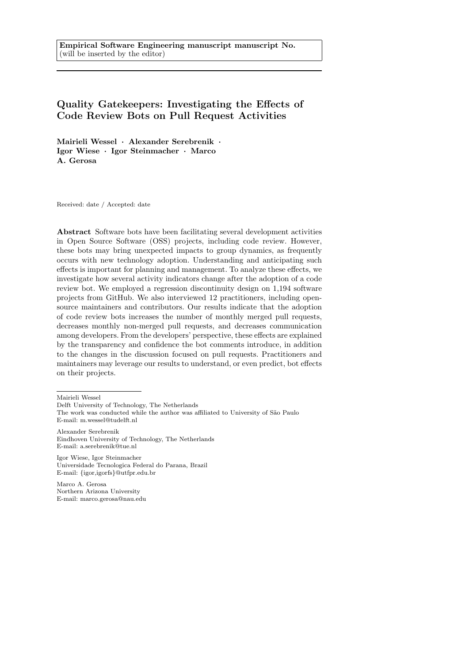# Quality Gatekeepers: Investigating the Effects of Code Review Bots on Pull Request Activities

Mairieli Wessel · Alexander Serebrenik · Igor Wiese · Igor Steinmacher · Marco A. Gerosa

Received: date / Accepted: date

Abstract Software bots have been facilitating several development activities in Open Source Software (OSS) projects, including code review. However, these bots may bring unexpected impacts to group dynamics, as frequently occurs with new technology adoption. Understanding and anticipating such effects is important for planning and management. To analyze these effects, we investigate how several activity indicators change after the adoption of a code review bot. We employed a regression discontinuity design on 1,194 software projects from GitHub. We also interviewed 12 practitioners, including opensource maintainers and contributors. Our results indicate that the adoption of code review bots increases the number of monthly merged pull requests, decreases monthly non-merged pull requests, and decreases communication among developers. From the developers' perspective, these effects are explained by the transparency and confidence the bot comments introduce, in addition to the changes in the discussion focused on pull requests. Practitioners and maintainers may leverage our results to understand, or even predict, bot effects on their projects.

Mairieli Wessel

Delft University of Technology, The Netherlands

Alexander Serebrenik Eindhoven University of Technology, The Netherlands E-mail: a.serebrenik@tue.nl

Igor Wiese, Igor Steinmacher Universidade Tecnologica Federal do Parana, Brazil E-mail: {igor,igorfs}@utfpr.edu.br

Marco A. Gerosa Northern Arizona University E-mail: marco.gerosa@nau.edu

The work was conducted while the author was affiliated to University of São Paulo E-mail: m.wessel@tudelft.nl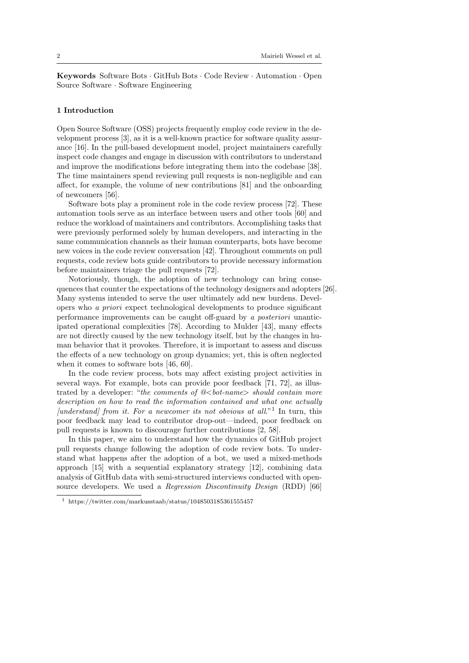Keywords Software Bots · GitHub Bots · Code Review · Automation · Open Source Software · Software Engineering

### 1 Introduction

Open Source Software (OSS) projects frequently employ code review in the development process [3], as it is a well-known practice for software quality assurance [16]. In the pull-based development model, project maintainers carefully inspect code changes and engage in discussion with contributors to understand and improve the modifications before integrating them into the codebase [38]. The time maintainers spend reviewing pull requests is non-negligible and can affect, for example, the volume of new contributions [81] and the onboarding of newcomers [56].

Software bots play a prominent role in the code review process [72]. These automation tools serve as an interface between users and other tools [60] and reduce the workload of maintainers and contributors. Accomplishing tasks that were previously performed solely by human developers, and interacting in the same communication channels as their human counterparts, bots have become new voices in the code review conversation [42]. Throughout comments on pull requests, code review bots guide contributors to provide necessary information before maintainers triage the pull requests [72].

Notoriously, though, the adoption of new technology can bring consequences that counter the expectations of the technology designers and adopters [26]. Many systems intended to serve the user ultimately add new burdens. Developers who a priori expect technological developments to produce significant performance improvements can be caught off-guard by a posteriori unanticipated operational complexities [78]. According to Mulder [43], many effects are not directly caused by the new technology itself, but by the changes in human behavior that it provokes. Therefore, it is important to assess and discuss the effects of a new technology on group dynamics; yet, this is often neglected when it comes to software bots [46, 60].

In the code review process, bots may affect existing project activities in several ways. For example, bots can provide poor feedback [71, 72], as illustrated by a developer: "the comments of  $@-name $>$  should contain more$ description on how to read the information contained and what one actually [understand] from it. For a newcomer its not obvious at all."<sup>1</sup> In turn, this poor feedback may lead to contributor drop-out—indeed, poor feedback on pull requests is known to discourage further contributions [2, 58].

In this paper, we aim to understand how the dynamics of GitHub project pull requests change following the adoption of code review bots. To understand what happens after the adoption of a bot, we used a mixed-methods approach [15] with a sequential explanatory strategy [12], combining data analysis of GitHub data with semi-structured interviews conducted with opensource developers. We used a *Regression Discontinuity Design* (RDD) [66]

 $1$  https://twitter.com/markusstaab/status/1048503185361555457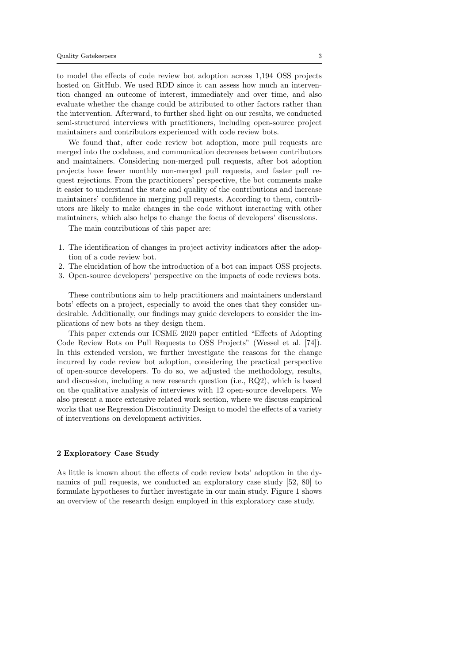to model the effects of code review bot adoption across 1,194 OSS projects hosted on GitHub. We used RDD since it can assess how much an intervention changed an outcome of interest, immediately and over time, and also evaluate whether the change could be attributed to other factors rather than the intervention. Afterward, to further shed light on our results, we conducted semi-structured interviews with practitioners, including open-source project maintainers and contributors experienced with code review bots.

We found that, after code review bot adoption, more pull requests are merged into the codebase, and communication decreases between contributors and maintainers. Considering non-merged pull requests, after bot adoption projects have fewer monthly non-merged pull requests, and faster pull request rejections. From the practitioners' perspective, the bot comments make it easier to understand the state and quality of the contributions and increase maintainers' confidence in merging pull requests. According to them, contributors are likely to make changes in the code without interacting with other maintainers, which also helps to change the focus of developers' discussions.

The main contributions of this paper are:

- 1. The identification of changes in project activity indicators after the adoption of a code review bot.
- 2. The elucidation of how the introduction of a bot can impact OSS projects.
- 3. Open-source developers' perspective on the impacts of code reviews bots.

These contributions aim to help practitioners and maintainers understand bots' effects on a project, especially to avoid the ones that they consider undesirable. Additionally, our findings may guide developers to consider the implications of new bots as they design them.

This paper extends our ICSME 2020 paper entitled "Effects of Adopting Code Review Bots on Pull Requests to OSS Projects" (Wessel et al. [74]). In this extended version, we further investigate the reasons for the change incurred by code review bot adoption, considering the practical perspective of open-source developers. To do so, we adjusted the methodology, results, and discussion, including a new research question (i.e., RQ2), which is based on the qualitative analysis of interviews with 12 open-source developers. We also present a more extensive related work section, where we discuss empirical works that use Regression Discontinuity Design to model the effects of a variety of interventions on development activities.

# 2 Exploratory Case Study

As little is known about the effects of code review bots' adoption in the dynamics of pull requests, we conducted an exploratory case study [52, 80] to formulate hypotheses to further investigate in our main study. Figure 1 shows an overview of the research design employed in this exploratory case study.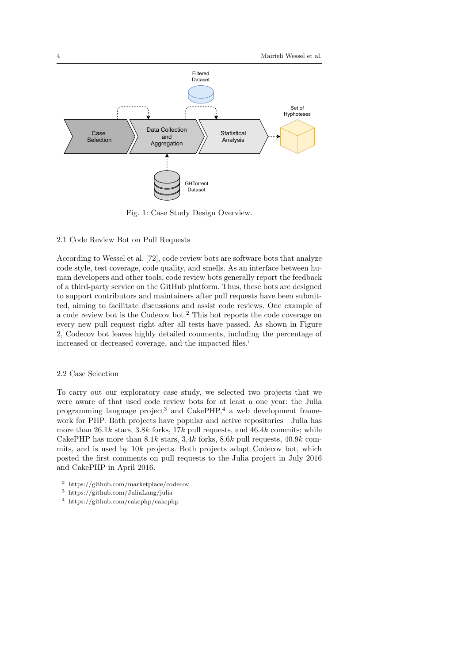

Fig. 1: Case Study Design Overview.

### 2.1 Code Review Bot on Pull Requests

According to Wessel et al. [72], code review bots are software bots that analyze code style, test coverage, code quality, and smells. As an interface between human developers and other tools, code review bots generally report the feedback of a third-party service on the GitHub platform. Thus, these bots are designed to support contributors and maintainers after pull requests have been submitted, aiming to facilitate discussions and assist code reviews. One example of a code review bot is the Codecov bot.<sup>2</sup> This bot reports the code coverage on every new pull request right after all tests have passed. As shown in Figure 2, Codecov bot leaves highly detailed comments, including the percentage of increased or decreased coverage, and the impacted files.'

### 2.2 Case Selection

To carry out our exploratory case study, we selected two projects that we were aware of that used code review bots for at least a one year: the Julia programming language project<sup>3</sup> and CakePHP,<sup>4</sup> a web development framework for PHP. Both projects have popular and active repositories—Julia has more than  $26.1k$  stars,  $3.8k$  forks,  $17k$  pull requests, and  $46.4k$  commits; while CakePHP has more than  $8.1k$  stars,  $3.4k$  forks,  $8.6k$  pull requests,  $40.9k$  commits, and is used by 10k projects. Both projects adopt Codecov bot, which posted the first comments on pull requests to the Julia project in July 2016 and CakePHP in April 2016.

<sup>2</sup> https://github.com/marketplace/codecov

<sup>3</sup> https://github.com/JuliaLang/julia

<sup>4</sup> https://github.com/cakephp/cakephp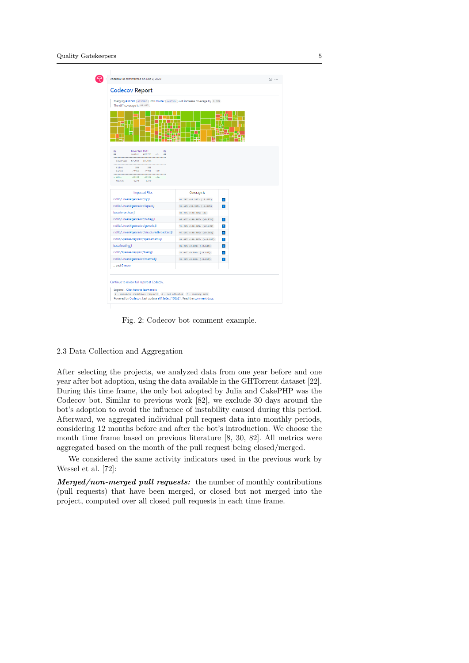| Merging #38791 (a1106b8) into master (ca795bc) will increase coverage by 0.00%.<br>The diff coverage is 98.98%.                                                                                                                                                                                                                                                                                                                                                                                                            |                            |           |  |
|----------------------------------------------------------------------------------------------------------------------------------------------------------------------------------------------------------------------------------------------------------------------------------------------------------------------------------------------------------------------------------------------------------------------------------------------------------------------------------------------------------------------------|----------------------------|-----------|--|
| le                                                                                                                                                                                                                                                                                                                                                                                                                                                                                                                         |                            | W<br>鷝    |  |
| Coverage Diff<br>69<br>69<br>master #38791 +/- ##<br>22<br><br>Coverage 87.55% 87.55%<br>${\small \begin{tabular}{l} \bf 84123 & \bf 883 & \bf 883 \\ \bf 983 & \bf 983 & \bf 983 \\ \bf 983 & \bf 983 & \bf 983 \\ \bf 983 & \bf 983 & \bf 983 \\ \bf 983 & \bf 983 & \bf 983 \\ \bf 983 & \bf 983 & \bf 983 \\ \bf 983 & \bf 983 & \bf 983 \\ \bf 983 & \bf 983 & \bf 983 \\ \bf 983 & \bf 983 & \bf 983 \\ \bf 983 & \bf 983 & \bf 98$<br>Lines<br>74468 74498 +38<br><br>+ Hits 65198 65228 +30<br>Misses<br>9278 9278 |                            |           |  |
|                                                                                                                                                                                                                                                                                                                                                                                                                                                                                                                            |                            |           |  |
| <b>Impacted Files</b>                                                                                                                                                                                                                                                                                                                                                                                                                                                                                                      | Coverage A                 |           |  |
| stdlib/LinearAlgebra/src/gr.jl                                                                                                                                                                                                                                                                                                                                                                                                                                                                                             | 94.78% <86.36%> (-0.50%)   | <b>I</b>  |  |
| stdlib/LinearAlgebra/src/lapack.jl                                                                                                                                                                                                                                                                                                                                                                                                                                                                                         | 95.60% <98.90%> (-0.03%)   | п         |  |
| base/errorshow.jl                                                                                                                                                                                                                                                                                                                                                                                                                                                                                                          | 88.26% <100.00%> (a)       |           |  |
| stdlib/LinearAlgebra/src/bidiag.jl                                                                                                                                                                                                                                                                                                                                                                                                                                                                                         | 98.97% <188.88%> (+8.32%)  | <b>In</b> |  |
| stdlib/LinearAlgebra/src/generic.jl                                                                                                                                                                                                                                                                                                                                                                                                                                                                                        | 95.24% <100.00%> (+0.03%)  | ш         |  |
| stdlib/LinearAlgebra/src/structuredbroadcast.jl                                                                                                                                                                                                                                                                                                                                                                                                                                                                            | 97.68% <188.88%> (+8.81%)  | ×         |  |
| stdlib/SparseArrays/src/sparsematrix.jl                                                                                                                                                                                                                                                                                                                                                                                                                                                                                    | 96.08% <100.00%> (+<0.01%) | ш         |  |
| base/loading.jl                                                                                                                                                                                                                                                                                                                                                                                                                                                                                                            | 82.28% <0.00%> (-0.44%)    | п         |  |
| stdlib/SparseArrays/src/linalg.jl                                                                                                                                                                                                                                                                                                                                                                                                                                                                                          | 84.84% <0.00%> (-0.19%)    | п         |  |
| stdlib/LinearAlgebra/src/matmul.jl                                                                                                                                                                                                                                                                                                                                                                                                                                                                                         | 95.20% <0.00%> (-0.01%)    | m         |  |

Fig. 2: Codecov bot comment example.

# 2.3 Data Collection and Aggregation

After selecting the projects, we analyzed data from one year before and one year after bot adoption, using the data available in the GHTorrent dataset [22]. During this time frame, the only bot adopted by Julia and CakePHP was the Codecov bot. Similar to previous work [82], we exclude 30 days around the bot's adoption to avoid the influence of instability caused during this period. Afterward, we aggregated individual pull request data into monthly periods, considering 12 months before and after the bot's introduction. We choose the month time frame based on previous literature [8, 30, 82]. All metrics were aggregated based on the month of the pull request being closed/merged.

We considered the same activity indicators used in the previous work by Wessel et al. [72]:

Merged/non-merged pull requests: the number of monthly contributions (pull requests) that have been merged, or closed but not merged into the project, computed over all closed pull requests in each time frame.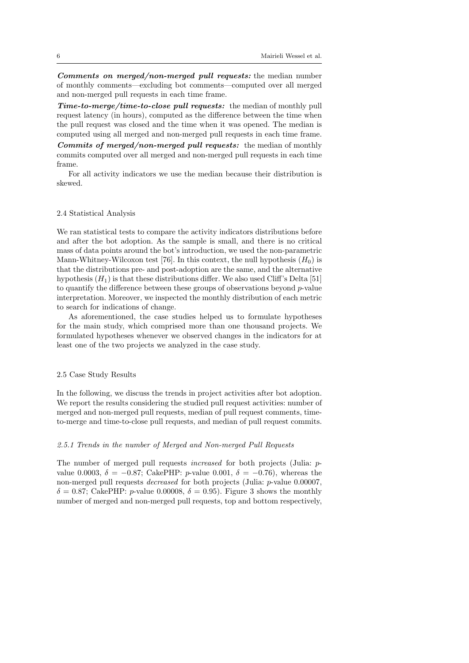Comments on merged/non-merged pull requests: the median number of monthly comments—excluding bot comments—computed over all merged and non-merged pull requests in each time frame.

**Time-to-merge/time-to-close pull requests:** the median of monthly pull request latency (in hours), computed as the difference between the time when the pull request was closed and the time when it was opened. The median is computed using all merged and non-merged pull requests in each time frame.

Commits of merged/non-merged pull requests: the median of monthly commits computed over all merged and non-merged pull requests in each time frame.

For all activity indicators we use the median because their distribution is skewed.

### 2.4 Statistical Analysis

We ran statistical tests to compare the activity indicators distributions before and after the bot adoption. As the sample is small, and there is no critical mass of data points around the bot's introduction, we used the non-parametric Mann-Whitney-Wilcoxon test [76]. In this context, the null hypothesis  $(H_0)$  is that the distributions pre- and post-adoption are the same, and the alternative hypothesis  $(H_1)$  is that these distributions differ. We also used Cliff's Delta [51] to quantify the difference between these groups of observations beyond  $p$ -value interpretation. Moreover, we inspected the monthly distribution of each metric to search for indications of change.

As aforementioned, the case studies helped us to formulate hypotheses for the main study, which comprised more than one thousand projects. We formulated hypotheses whenever we observed changes in the indicators for at least one of the two projects we analyzed in the case study.

### 2.5 Case Study Results

In the following, we discuss the trends in project activities after bot adoption. We report the results considering the studied pull request activities: number of merged and non-merged pull requests, median of pull request comments, timeto-merge and time-to-close pull requests, and median of pull request commits.

### 2.5.1 Trends in the number of Merged and Non-merged Pull Requests

The number of merged pull requests increased for both projects (Julia: pvalue 0.0003,  $\delta = -0.87$ ; CakePHP: p-value 0.001,  $\delta = -0.76$ ), whereas the non-merged pull requests decreased for both projects (Julia: p-value 0.00007,  $\delta = 0.87$ ; CakePHP: *p*-value 0.00008,  $\delta = 0.95$ ). Figure 3 shows the monthly number of merged and non-merged pull requests, top and bottom respectively,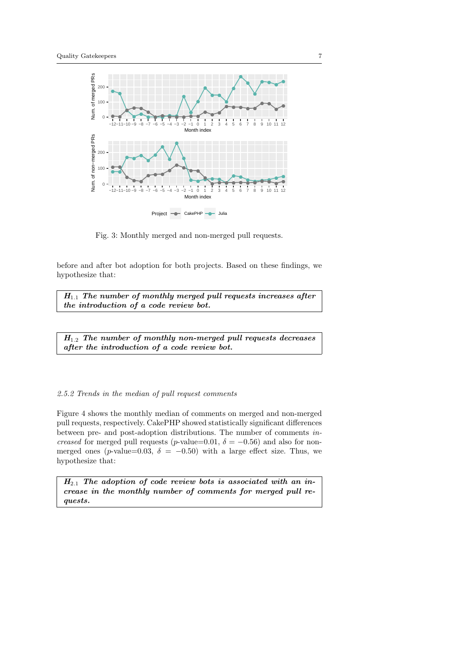

Fig. 3: Monthly merged and non-merged pull requests.

before and after bot adoption for both projects. Based on these findings, we hypothesize that:

 $H_{1,1}$  The number of monthly merged pull requests increases after the introduction of a code review bot.

 $H_{1.2}$  The number of monthly non-merged pull requests decreases after the introduction of a code review bot.

# 2.5.2 Trends in the median of pull request comments

Figure 4 shows the monthly median of comments on merged and non-merged pull requests, respectively. CakePHP showed statistically significant differences between pre- and post-adoption distributions. The number of comments increased for merged pull requests (p-value=0.01,  $\delta$  = -0.56) and also for nonmerged ones (p-value=0.03,  $\delta$  = -0.50) with a large effect size. Thus, we hypothesize that:

 $H_{2,1}$  The adoption of code review bots is associated with an increase in the monthly number of comments for merged pull requests.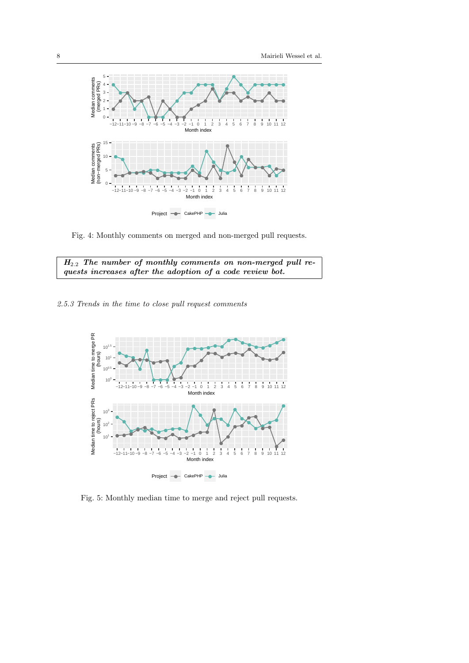

Fig. 4: Monthly comments on merged and non-merged pull requests.



2.5.3 Trends in the time to close pull request comments



Fig. 5: Monthly median time to merge and reject pull requests.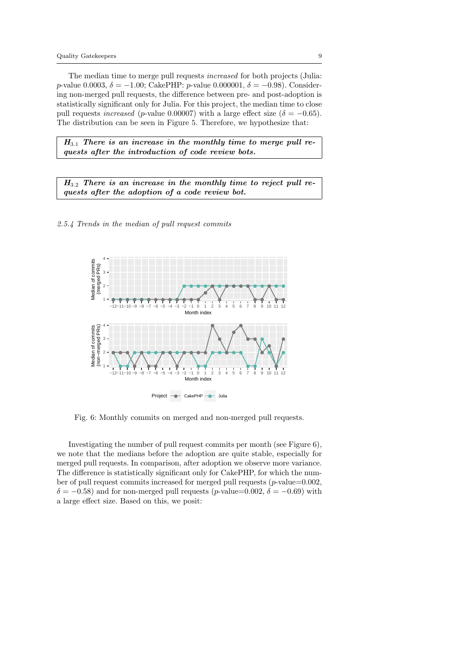The median time to merge pull requests increased for both projects (Julia: p-value 0.0003,  $\delta = -1.00$ ; CakePHP: p-value 0.000001,  $\delta = -0.98$ ). Considering non-merged pull requests, the difference between pre- and post-adoption is statistically significant only for Julia. For this project, the median time to close pull requests *increased* (*p*-value 0.00007) with a large effect size ( $\delta = -0.65$ ). The distribution can be seen in Figure 5. Therefore, we hypothesize that:

 $H_{3,1}$  There is an increase in the monthly time to merge pull requests after the introduction of code review bots.

 $H_{3,2}$  There is an increase in the monthly time to reject pull requests after the adoption of a code review bot.

2.5.4 Trends in the median of pull request commits



Fig. 6: Monthly commits on merged and non-merged pull requests.

Investigating the number of pull request commits per month (see Figure 6), we note that the medians before the adoption are quite stable, especially for merged pull requests. In comparison, after adoption we observe more variance. The difference is statistically significant only for CakePHP, for which the number of pull request commits increased for merged pull requests ( $p$ -value=0.002,  $\delta = -0.58$ ) and for non-merged pull requests (p-value=0.002,  $\delta = -0.69$ ) with a large effect size. Based on this, we posit: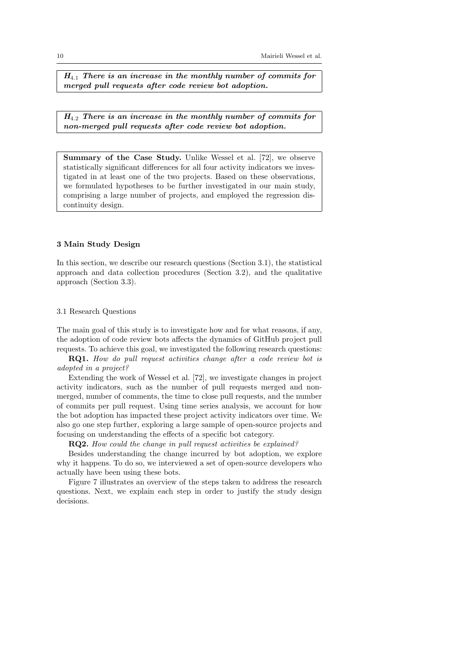$H_{4,1}$  There is an increase in the monthly number of commits for merged pull requests after code review bot adoption.

 $H_{4,2}$  There is an increase in the monthly number of commits for non-merged pull requests after code review bot adoption.

Summary of the Case Study. Unlike Wessel et al. [72], we observe statistically significant differences for all four activity indicators we investigated in at least one of the two projects. Based on these observations, we formulated hypotheses to be further investigated in our main study, comprising a large number of projects, and employed the regression discontinuity design.

# 3 Main Study Design

In this section, we describe our research questions (Section 3.1), the statistical approach and data collection procedures (Section 3.2), and the qualitative approach (Section 3.3).

# 3.1 Research Questions

The main goal of this study is to investigate how and for what reasons, if any, the adoption of code review bots affects the dynamics of GitHub project pull requests. To achieve this goal, we investigated the following research questions:

RQ1. How do pull request activities change after a code review bot is adopted in a project?

Extending the work of Wessel et al. [72], we investigate changes in project activity indicators, such as the number of pull requests merged and nonmerged, number of comments, the time to close pull requests, and the number of commits per pull request. Using time series analysis, we account for how the bot adoption has impacted these project activity indicators over time. We also go one step further, exploring a large sample of open-source projects and focusing on understanding the effects of a specific bot category.

RQ2. How could the change in pull request activities be explained?

Besides understanding the change incurred by bot adoption, we explore why it happens. To do so, we interviewed a set of open-source developers who actually have been using these bots.

Figure 7 illustrates an overview of the steps taken to address the research questions. Next, we explain each step in order to justify the study design decisions.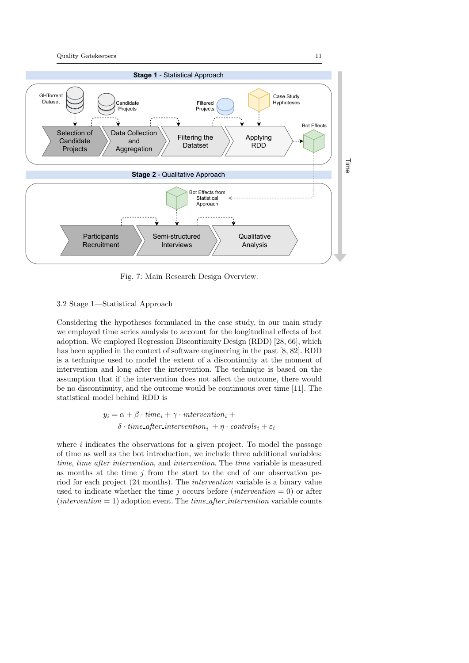

Fig. 7: Main Research Design Overview.

# 3.2 Stage 1—Statistical Approach

Considering the hypotheses formulated in the case study, in our main study we employed time series analysis to account for the longitudinal effects of bot adoption. We employed Regression Discontinuity Design (RDD) [28, 66], which has been applied in the context of software engineering in the past [8, 82]. RDD is a technique used to model the extent of a discontinuity at the moment of intervention and long after the intervention. The technique is based on the assumption that if the intervention does not affect the outcome, there would be no discontinuity, and the outcome would be continuous over time [11]. The statistical model behind RDD is

$$
y_i = \alpha + \beta \cdot time_i + \gamma \cdot intervention_i +
$$
  

$$
\delta \cdot time_{\text{-}after\_intervation_i} + \eta \cdot controls_i + \varepsilon_i
$$

where  $i$  indicates the observations for a given project. To model the passage of time as well as the bot introduction, we include three additional variables: time, time after intervention, and intervention. The time variable is measured as months at the time  $j$  from the start to the end of our observation period for each project (24 months). The intervention variable is a binary value used to indicate whether the time j occurs before (*intervention* = 0) or after  $intervention = 1)$  adoption event. The *time<sub>-after-intervention* variable counts</sub>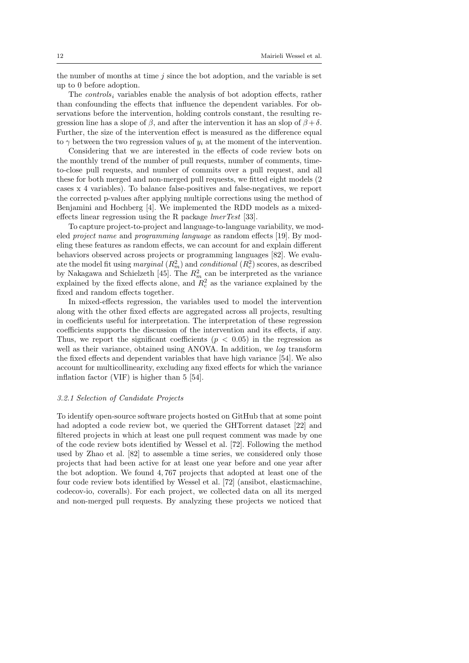the number of months at time  $j$  since the bot adoption, and the variable is set up to 0 before adoption.

The *controls<sub>i</sub>* variables enable the analysis of bot adoption effects, rather than confounding the effects that influence the dependent variables. For observations before the intervention, holding controls constant, the resulting regression line has a slope of  $\beta$ , and after the intervention it has an slop of  $\beta + \delta$ . Further, the size of the intervention effect is measured as the difference equal to  $\gamma$  between the two regression values of  $y_i$  at the moment of the intervention.

Considering that we are interested in the effects of code review bots on the monthly trend of the number of pull requests, number of comments, timeto-close pull requests, and number of commits over a pull request, and all these for both merged and non-merged pull requests, we fitted eight models (2 cases x 4 variables). To balance false-positives and false-negatives, we report the corrected p-values after applying multiple corrections using the method of Benjamini and Hochberg [4]. We implemented the RDD models as a mixedeffects linear regression using the R package lmerTest [33].

To capture project-to-project and language-to-language variability, we modeled project name and programming language as random effects [19]. By modeling these features as random effects, we can account for and explain different behaviors observed across projects or programming languages [82]. We evaluate the model fit using *marginal*  $(R_m^2)$  and *conditional*  $(R_c^2)$  scores, as described by Nakagawa and Schielzeth [45]. The  $R_m^2$  can be interpreted as the variance explained by the fixed effects alone, and  $R_c^2$  as the variance explained by the fixed and random effects together.

In mixed-effects regression, the variables used to model the intervention along with the other fixed effects are aggregated across all projects, resulting in coefficients useful for interpretation. The interpretation of these regression coefficients supports the discussion of the intervention and its effects, if any. Thus, we report the significant coefficients ( $p < 0.05$ ) in the regression as well as their variance, obtained using ANOVA. In addition, we log transform the fixed effects and dependent variables that have high variance [54]. We also account for multicollinearity, excluding any fixed effects for which the variance inflation factor (VIF) is higher than 5 [54].

### 3.2.1 Selection of Candidate Projects

To identify open-source software projects hosted on GitHub that at some point had adopted a code review bot, we queried the GHTorrent dataset [22] and filtered projects in which at least one pull request comment was made by one of the code review bots identified by Wessel et al. [72]. Following the method used by Zhao et al. [82] to assemble a time series, we considered only those projects that had been active for at least one year before and one year after the bot adoption. We found 4, 767 projects that adopted at least one of the four code review bots identified by Wessel et al. [72] (ansibot, elasticmachine, codecov-io, coveralls). For each project, we collected data on all its merged and non-merged pull requests. By analyzing these projects we noticed that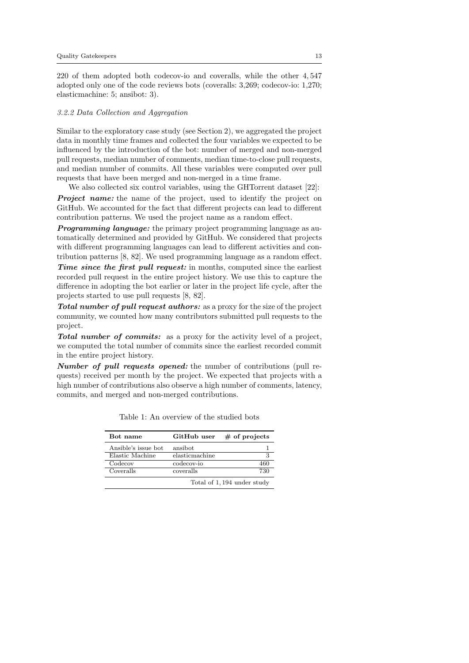220 of them adopted both codecov-io and coveralls, while the other 4, 547 adopted only one of the code reviews bots (coveralls: 3,269; codecov-io: 1,270; elasticmachine: 5; ansibot: 3).

### 3.2.2 Data Collection and Aggregation

Similar to the exploratory case study (see Section 2), we aggregated the project data in monthly time frames and collected the four variables we expected to be influenced by the introduction of the bot: number of merged and non-merged pull requests, median number of comments, median time-to-close pull requests, and median number of commits. All these variables were computed over pull requests that have been merged and non-merged in a time frame.

We also collected six control variables, using the GHTorrent dataset [22]: **Project name:** the name of the project, used to identify the project on GitHub. We accounted for the fact that different projects can lead to different contribution patterns. We used the project name as a random effect.

**Programming language:** the primary project programming language as automatically determined and provided by GitHub. We considered that projects with different programming languages can lead to different activities and contribution patterns [8, 82]. We used programming language as a random effect.

Time since the first pull request: in months, computed since the earliest recorded pull request in the entire project history. We use this to capture the difference in adopting the bot earlier or later in the project life cycle, after the projects started to use pull requests [8, 82].

Total number of pull request authors: as a proxy for the size of the project community, we counted how many contributors submitted pull requests to the project.

Total number of commits: as a proxy for the activity level of a project, we computed the total number of commits since the earliest recorded commit in the entire project history.

Number of pull requests opened: the number of contributions (pull requests) received per month by the project. We expected that projects with a high number of contributions also observe a high number of comments, latency, commits, and merged and non-merged contributions.

| Bot name             | GitHub user    | $#$ of projects            |
|----------------------|----------------|----------------------------|
| Ansible's issue bot. | ansibot        |                            |
| Elastic Machine      | elasticmachine | З                          |
| Codecov              | codecov-io     | 460                        |
| Coveralls            | coveralls      | 730                        |
|                      |                | Total of 1,194 under study |

Table 1: An overview of the studied bots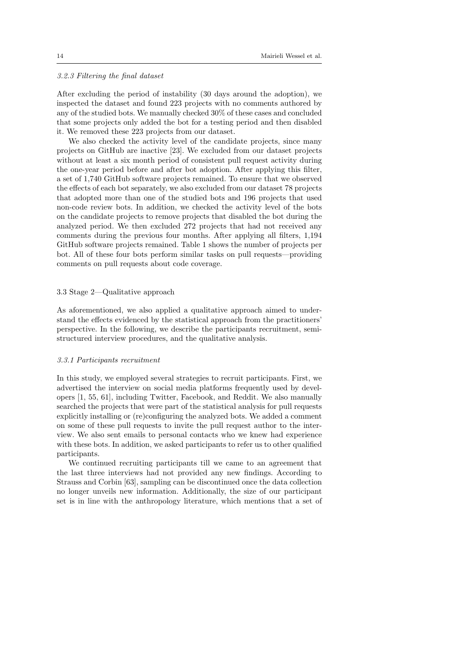### 3.2.3 Filtering the final dataset

After excluding the period of instability (30 days around the adoption), we inspected the dataset and found 223 projects with no comments authored by any of the studied bots. We manually checked 30% of these cases and concluded that some projects only added the bot for a testing period and then disabled it. We removed these 223 projects from our dataset.

We also checked the activity level of the candidate projects, since many projects on GitHub are inactive [23]. We excluded from our dataset projects without at least a six month period of consistent pull request activity during the one-year period before and after bot adoption. After applying this filter, a set of 1,740 GitHub software projects remained. To ensure that we observed the effects of each bot separately, we also excluded from our dataset 78 projects that adopted more than one of the studied bots and 196 projects that used non-code review bots. In addition, we checked the activity level of the bots on the candidate projects to remove projects that disabled the bot during the analyzed period. We then excluded 272 projects that had not received any comments during the previous four months. After applying all filters, 1,194 GitHub software projects remained. Table 1 shows the number of projects per bot. All of these four bots perform similar tasks on pull requests—providing comments on pull requests about code coverage.

### 3.3 Stage 2—Qualitative approach

As aforementioned, we also applied a qualitative approach aimed to understand the effects evidenced by the statistical approach from the practitioners' perspective. In the following, we describe the participants recruitment, semistructured interview procedures, and the qualitative analysis.

### 3.3.1 Participants recruitment

In this study, we employed several strategies to recruit participants. First, we advertised the interview on social media platforms frequently used by developers [1, 55, 61], including Twitter, Facebook, and Reddit. We also manually searched the projects that were part of the statistical analysis for pull requests explicitly installing or (re)configuring the analyzed bots. We added a comment on some of these pull requests to invite the pull request author to the interview. We also sent emails to personal contacts who we knew had experience with these bots. In addition, we asked participants to refer us to other qualified participants.

We continued recruiting participants till we came to an agreement that the last three interviews had not provided any new findings. According to Strauss and Corbin [63], sampling can be discontinued once the data collection no longer unveils new information. Additionally, the size of our participant set is in line with the anthropology literature, which mentions that a set of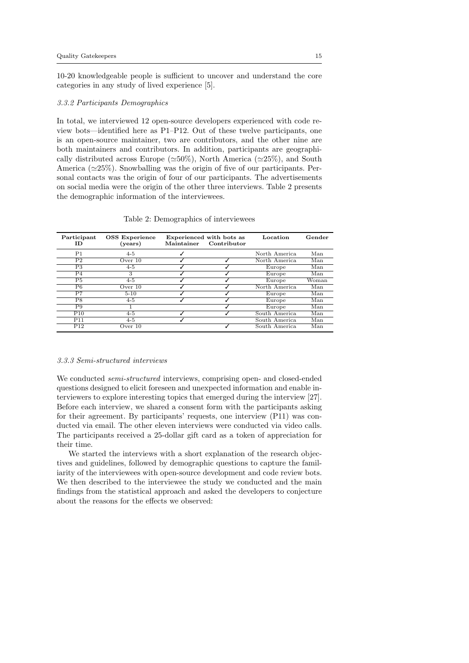10-20 knowledgeable people is sufficient to uncover and understand the core categories in any study of lived experience [5].

#### 3.3.2 Participants Demographics

In total, we interviewed 12 open-source developers experienced with code review bots—identified here as P1–P12. Out of these twelve participants, one is an open-source maintainer, two are contributors, and the other nine are both maintainers and contributors. In addition, participants are geographically distributed across Europe ( $\simeq 50\%$ ), North America ( $\simeq 25\%$ ), and South America  $(\simeq 25\%)$ . Snowballing was the origin of five of our participants. Personal contacts was the origin of four of our participants. The advertisements on social media were the origin of the other three interviews. Table 2 presents the demographic information of the interviewees.

| Participant<br>ΙD | <b>OSS</b> Experience<br>(years) | Maintainer | Experienced with bots as<br>Contributor | Location      | Gender |
|-------------------|----------------------------------|------------|-----------------------------------------|---------------|--------|
| P <sub>1</sub>    | $4 - 5$                          |            |                                         | North America | Man    |
| P <sub>2</sub>    | Over $10$                        |            |                                         | North America | Man    |
| P <sub>3</sub>    | $4 - 5$                          |            |                                         | Europe        | Man    |
| P <sub>4</sub>    | 3                                |            |                                         | Europe        | Man    |
| P5                | $4 - 5$                          |            |                                         | Europe        | Woman  |
| P <sub>6</sub>    | Over $10$                        |            |                                         | North America | Man    |
| P7                | $5 - 10$                         |            |                                         | Europe        | Man    |
| P8                | $4 - 5$                          |            |                                         | Europe        | Man    |
| P9                |                                  |            |                                         | Europe        | Man    |
| P10               | $4 - 5$                          |            |                                         | South America | Man    |
| P11               | $4 - 5$                          |            |                                         | South America | Man    |
| $\overline{P12}$  | Over $10$                        |            |                                         | South America | Man    |

Table 2: Demographics of interviewees

### 3.3.3 Semi-structured interviews

We conducted *semi-structured* interviews, comprising open- and closed-ended questions designed to elicit foreseen and unexpected information and enable interviewers to explore interesting topics that emerged during the interview [27]. Before each interview, we shared a consent form with the participants asking for their agreement. By participants' requests, one interview (P11) was conducted via email. The other eleven interviews were conducted via video calls. The participants received a 25-dollar gift card as a token of appreciation for their time.

We started the interviews with a short explanation of the research objectives and guidelines, followed by demographic questions to capture the familiarity of the interviewees with open-source development and code review bots. We then described to the interviewee the study we conducted and the main findings from the statistical approach and asked the developers to conjecture about the reasons for the effects we observed: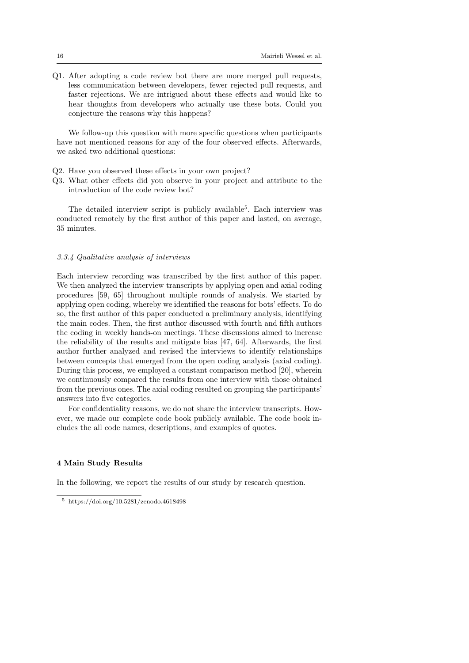Q1. After adopting a code review bot there are more merged pull requests, less communication between developers, fewer rejected pull requests, and faster rejections. We are intrigued about these effects and would like to hear thoughts from developers who actually use these bots. Could you conjecture the reasons why this happens?

We follow-up this question with more specific questions when participants have not mentioned reasons for any of the four observed effects. Afterwards, we asked two additional questions:

- Q2. Have you observed these effects in your own project?
- Q3. What other effects did you observe in your project and attribute to the introduction of the code review bot?

The detailed interview script is publicly available<sup>5</sup>. Each interview was conducted remotely by the first author of this paper and lasted, on average, 35 minutes.

#### 3.3.4 Qualitative analysis of interviews

Each interview recording was transcribed by the first author of this paper. We then analyzed the interview transcripts by applying open and axial coding procedures [59, 65] throughout multiple rounds of analysis. We started by applying open coding, whereby we identified the reasons for bots' effects. To do so, the first author of this paper conducted a preliminary analysis, identifying the main codes. Then, the first author discussed with fourth and fifth authors the coding in weekly hands-on meetings. These discussions aimed to increase the reliability of the results and mitigate bias [47, 64]. Afterwards, the first author further analyzed and revised the interviews to identify relationships between concepts that emerged from the open coding analysis (axial coding). During this process, we employed a constant comparison method [20], wherein we continuously compared the results from one interview with those obtained from the previous ones. The axial coding resulted on grouping the participants' answers into five categories.

For confidentiality reasons, we do not share the interview transcripts. However, we made our complete code book publicly available. The code book includes the all code names, descriptions, and examples of quotes.

#### 4 Main Study Results

In the following, we report the results of our study by research question.

<sup>5</sup> https://doi.org/10.5281/zenodo.4618498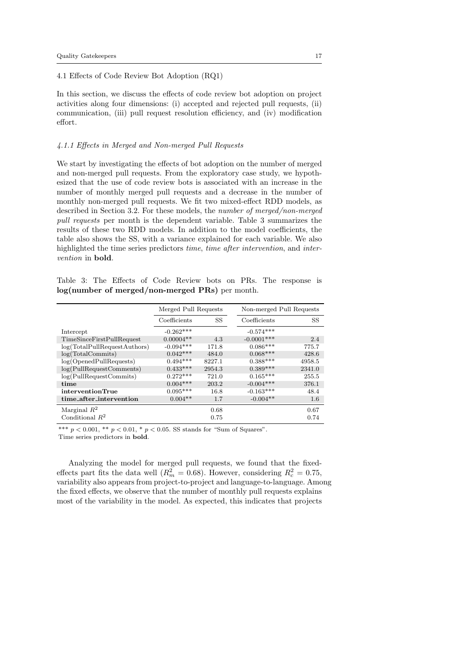### 4.1 Effects of Code Review Bot Adoption (RQ1)

In this section, we discuss the effects of code review bot adoption on project activities along four dimensions: (i) accepted and rejected pull requests, (ii) communication, (iii) pull request resolution efficiency, and (iv) modification effort.

### 4.1.1 Effects in Merged and Non-merged Pull Requests

We start by investigating the effects of bot adoption on the number of merged and non-merged pull requests. From the exploratory case study, we hypothesized that the use of code review bots is associated with an increase in the number of monthly merged pull requests and a decrease in the number of monthly non-merged pull requests. We fit two mixed-effect RDD models, as described in Section 3.2. For these models, the number of merged/non-merged pull requests per month is the dependent variable. Table 3 summarizes the results of these two RDD models. In addition to the model coefficients, the table also shows the SS, with a variance explained for each variable. We also highlighted the time series predictors time, time after intervention, and intervention in bold.

Table 3: The Effects of Code Review bots on PRs. The response is log(number of merged/non-merged PRs) per month.

|                              | Merged Pull Requests |        | Non-merged Pull Requests |        |
|------------------------------|----------------------|--------|--------------------------|--------|
|                              | Coefficients         | SS     | Coefficients             | SS     |
| Intercept                    | $-0.262***$          |        | $-0.574***$              |        |
| TimeSinceFirstPullRequest    | $0.00004**$          | 4.3    | $-0.0001$ ***            | 2.4    |
| log(TotalPullRequestAuthors) | $-0.094***$          | 171.8  | $0.086***$               | 775.7  |
| log(TotalCommits)            | $0.042***$           | 484.0  | $0.068***$               | 428.6  |
| log(OpendPullRequests)       | $0.494***$           | 8227.1 | $0.388***$               | 4958.5 |
| log(PullRequestComments)     | $0.433***$           | 2954.3 | $0.389***$               | 2341.0 |
| log(PullRequestCommits)      | $0.272***$           | 721.0  | $0.165***$               | 255.5  |
| time                         | $0.004***$           | 203.2  | $-0.004***$              | 376.1  |
| interventionTrue             | $0.095***$           | 16.8   | $-0.163***$              | 48.4   |
| time_after_intervention      | $0.004**$            | 1.7    | $-0.004**$               | 1.6    |
| Marginal $R^2$               |                      | 0.68   |                          | 0.67   |
| Conditional $R^2$            |                      | 0.75   |                          | 0.74   |

\*\*\*  $p < 0.001$ , \*\*  $p < 0.01$ , \*  $p < 0.05$ . SS stands for "Sum of Squares". Time series predictors in bold.

Analyzing the model for merged pull requests, we found that the fixedeffects part fits the data well ( $R_m^2 = 0.68$ ). However, considering  $R_c^2 = 0.75$ , variability also appears from project-to-project and language-to-language. Among the fixed effects, we observe that the number of monthly pull requests explains most of the variability in the model. As expected, this indicates that projects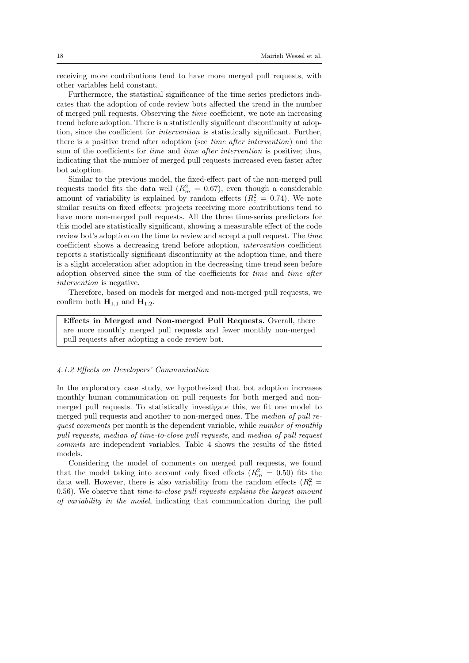receiving more contributions tend to have more merged pull requests, with other variables held constant.

Furthermore, the statistical significance of the time series predictors indicates that the adoption of code review bots affected the trend in the number of merged pull requests. Observing the time coefficient, we note an increasing trend before adoption. There is a statistically significant discontinuity at adoption, since the coefficient for intervention is statistically significant. Further, there is a positive trend after adoption (see time after intervention) and the sum of the coefficients for *time* and *time after intervention* is positive; thus, indicating that the number of merged pull requests increased even faster after bot adoption.

Similar to the previous model, the fixed-effect part of the non-merged pull requests model fits the data well  $(R_m^2 = 0.67)$ , even though a considerable amount of variability is explained by random effects  $(R_c^2 = 0.74)$ . We note similar results on fixed effects: projects receiving more contributions tend to have more non-merged pull requests. All the three time-series predictors for this model are statistically significant, showing a measurable effect of the code review bot's adoption on the time to review and accept a pull request. The time coefficient shows a decreasing trend before adoption, intervention coefficient reports a statistically significant discontinuity at the adoption time, and there is a slight acceleration after adoption in the decreasing time trend seen before adoption observed since the sum of the coefficients for time and time after intervention is negative.

Therefore, based on models for merged and non-merged pull requests, we confirm both  $H_{1,1}$  and  $H_{1,2}$ .

Effects in Merged and Non-merged Pull Requests. Overall, there are more monthly merged pull requests and fewer monthly non-merged pull requests after adopting a code review bot.

### 4.1.2 Effects on Developers' Communication

In the exploratory case study, we hypothesized that bot adoption increases monthly human communication on pull requests for both merged and nonmerged pull requests. To statistically investigate this, we fit one model to merged pull requests and another to non-merged ones. The median of pull request comments per month is the dependent variable, while number of monthly pull requests, median of time-to-close pull requests, and median of pull request commits are independent variables. Table 4 shows the results of the fitted models.

Considering the model of comments on merged pull requests, we found that the model taking into account only fixed effects  $(R_m^2 = 0.50)$  fits the data well. However, there is also variability from the random effects  $(R_c^2 =$  $(0.56)$ . We observe that *time-to-close pull requests explains the largest amount* of variability in the model, indicating that communication during the pull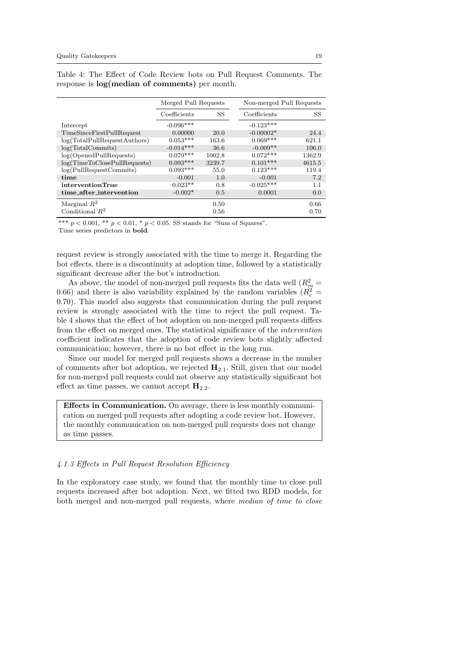|                              | Merged Pull Requests |        |              | Non-merged Pull Requests |
|------------------------------|----------------------|--------|--------------|--------------------------|
|                              | Coefficients         | SS     | Coefficients | SS                       |
| Intercept                    | $-0.096***$          |        | $-0.123***$  |                          |
| TimeSinceFirstPullRequest    | 0.00000              | 20.0   | $-0.00002*$  | 24.4                     |
| log(TotalPullRequestAuthors) | $0.053***$           | 163.6  | $0.069***$   | 621.1                    |
| log(TotalCommits)            | $-0.014***$          | 36.6   | $-0.009**$   | 106.0                    |
| log(OpendPullRequests)       | $0.079***$           | 1002.8 | $0.072***$   | 1362.9                   |
| log(TimeToClosePullRequests) | $0.093***$           | 3239.7 | $0.101***$   | 4615.5                   |
| log(PullRequestCommits)      | $0.093***$           | 55.0   | $0.123***$   | 119.4                    |
| time                         | $-0.001$             | 1.0    | $-0.001$     | 7.2                      |
| interventionTrue             | $0.023**$            | 0.8    | $-0.025***$  | 1.1                      |
| time_after_intervention      | $-0.002*$            | 0.5    | 0.0001       | 0.0                      |
| Marginal $R^2$               |                      | 0.50   |              | 0.66                     |
| Conditional $R^2$            |                      | 0.56   |              | 0.70                     |

Table 4: The Effect of Code Review bots on Pull Request Comments. The response is log(median of comments) per month.

\*\*\*  $p < 0.001$ , \*\*  $p < 0.01$ , \*  $p < 0.05$ . SS stands for "Sum of Squares". Time series predictors in bold.

request review is strongly associated with the time to merge it. Regarding the bot effects, there is a discontinuity at adoption time, followed by a statistically significant decrease after the bot's introduction.

As above, the model of non-merged pull requests fits the data well ( $R_m^2$  = 0.66) and there is also variability explained by the random variables  $(R_c^2 =$ 0.70). This model also suggests that communication during the pull request review is strongly associated with the time to reject the pull request. Table 4 shows that the effect of bot adoption on non-merged pull requests differs from the effect on merged ones. The statistical significance of the intervention coefficient indicates that the adoption of code review bots slightly affected communication; however, there is no bot effect in the long run.

Since our model for merged pull requests shows a decrease in the number of comments after bot adoption, we rejected  $H_{2,1}$ . Still, given that our model for non-merged pull requests could not observe any statistically significant bot effect as time passes, we cannot accept  $H_{2,2}$ .

Effects in Communication. On average, there is less monthly communication on merged pull requests after adopting a code review bot. However, the monthly communication on non-merged pull requests does not change as time passes.

### 4.1.3 Effects in Pull Request Resolution Efficiency

In the exploratory case study, we found that the monthly time to close pull requests increased after bot adoption. Next, we fitted two RDD models, for both merged and non-merged pull requests, where median of time to close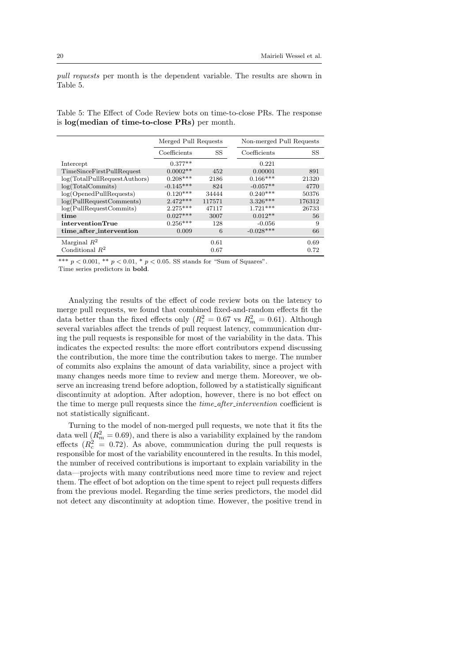pull requests per month is the dependent variable. The results are shown in Table 5.

Table 5: The Effect of Code Review bots on time-to-close PRs. The response is log(median of time-to-close PRs) per month.

|                              | Merged Pull Requests |        | Non-merged Pull Requests |        |
|------------------------------|----------------------|--------|--------------------------|--------|
|                              | Coefficients         | SS     | Coefficients             | SS     |
| Intercept                    | $0.377**$            |        | 0.221                    |        |
| TimeSinceFirstPullRequest    | $0.0002**$           | 452    | 0.00001                  | 891    |
| log(TotalPullRequestAuthors) | $0.208***$           | 2186   | $0.166***$               | 21320  |
| log(TotalCommits)            | $-0.145***$          | 824    | $-0.057**$               | 4770   |
| log(OpendPullRequests)       | $0.120***$           | 34444  | $0.240***$               | 50376  |
| log(PullRequestComments)     | $2.472***$           | 117571 | $3.326***$               | 176312 |
| log(PullRequestCommits)      | $2.275***$           | 47117  | $1.721***$               | 26733  |
| time                         | $0.027***$           | 3007   | $0.012**$                | 56     |
| interventionTrue             | $0.256***$           | 128    | $-0.056$                 | 9      |
| time_after_intervention      | 0.009                | 6      | $-0.028***$              | 66     |
| Marginal $R^2$               |                      | 0.61   |                          | 0.69   |
| Conditional $R^2$            |                      | 0.67   |                          | 0.72   |

\*\*\*  $p < 0.001$ , \*\*  $p < 0.01$ , \*  $p < 0.05$ . SS stands for "Sum of Squares".

Time series predictors in bold.

Analyzing the results of the effect of code review bots on the latency to merge pull requests, we found that combined fixed-and-random effects fit the data better than the fixed effects only  $(R_c^2 = 0.67 \text{ vs } R_m^2 = 0.61)$ . Although several variables affect the trends of pull request latency, communication during the pull requests is responsible for most of the variability in the data. This indicates the expected results: the more effort contributors expend discussing the contribution, the more time the contribution takes to merge. The number of commits also explains the amount of data variability, since a project with many changes needs more time to review and merge them. Moreover, we observe an increasing trend before adoption, followed by a statistically significant discontinuity at adoption. After adoption, however, there is no bot effect on the time to merge pull requests since the *time\_after\_intervention* coefficient is not statistically significant.

Turning to the model of non-merged pull requests, we note that it fits the data well  $(R_m^2 = 0.69)$ , and there is also a variability explained by the random effects  $(R_c^2 = 0.72)$ . As above, communication during the pull requests is responsible for most of the variability encountered in the results. In this model, the number of received contributions is important to explain variability in the data—projects with many contributions need more time to review and reject them. The effect of bot adoption on the time spent to reject pull requests differs from the previous model. Regarding the time series predictors, the model did not detect any discontinuity at adoption time. However, the positive trend in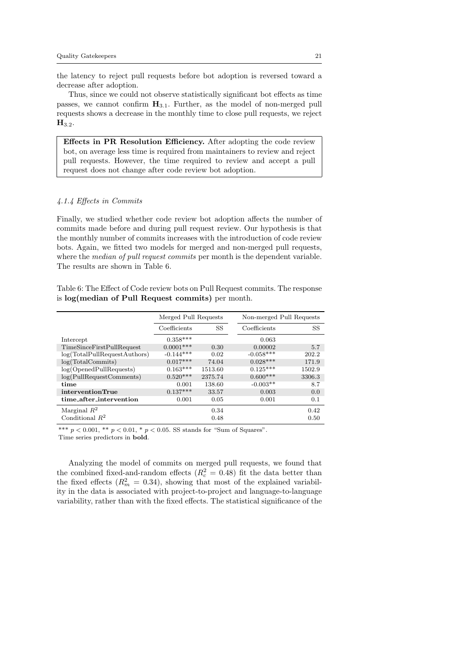the latency to reject pull requests before bot adoption is reversed toward a decrease after adoption.

Thus, since we could not observe statistically significant bot effects as time passes, we cannot confirm  $H_{3.1}$ . Further, as the model of non-merged pull requests shows a decrease in the monthly time to close pull requests, we reject  $H_{3.2}$ .

Effects in PR Resolution Efficiency. After adopting the code review bot, on average less time is required from maintainers to review and reject pull requests. However, the time required to review and accept a pull request does not change after code review bot adoption.

### 4.1.4 Effects in Commits

Finally, we studied whether code review bot adoption affects the number of commits made before and during pull request review. Our hypothesis is that the monthly number of commits increases with the introduction of code review bots. Again, we fitted two models for merged and non-merged pull requests, where the *median of pull request commits* per month is the dependent variable. The results are shown in Table 6.

Table 6: The Effect of Code review bots on Pull Request commits. The response is log(median of Pull Request commits) per month.

|                              | Merged Pull Requests |         | Non-merged Pull Requests |        |
|------------------------------|----------------------|---------|--------------------------|--------|
|                              | Coefficients         | SS      | Coefficients             | SS     |
| Intercept                    | $0.358***$           |         | 0.063                    |        |
| TimeSinceFirstPullRequest    | $0.0001$ ***         | 0.30    | 0.00002                  | 5.7    |
| log(TotalPullRequestAuthors) | $-0.144***$          | 0.02    | $-0.058***$              | 202.2  |
| log(TotalCommits)            | $0.017***$           | 74.04   | $0.028***$               | 171.9  |
| log(OpendPullRequests)       | $0.163***$           | 1513.60 | $0.125***$               | 1502.9 |
| log(PullRequestComments)     | $0.520***$           | 2375.74 | $0.600***$               | 3306.3 |
| time                         | 0.001                | 138.60  | $-0.003**$               | 8.7    |
| interventionTrue             | $0.137***$           | 33.57   | 0.003                    | 0.0    |
| time_after_intervention      | 0.001                | 0.05    | 0.001                    | 0.1    |
| Marginal $R^2$               |                      | 0.34    |                          | 0.42   |
| Conditional $R^2$            |                      | 0.48    |                          | 0.50   |

\*\*\*  $p < 0.001$ , \*\*  $p < 0.01$ , \*  $p < 0.05$ . SS stands for "Sum of Squares". Time series predictors in bold.

Analyzing the model of commits on merged pull requests, we found that the combined fixed-and-random effects  $(R_c^2 = 0.48)$  fit the data better than the fixed effects  $(R_m^2 = 0.34)$ , showing that most of the explained variability in the data is associated with project-to-project and language-to-language variability, rather than with the fixed effects. The statistical significance of the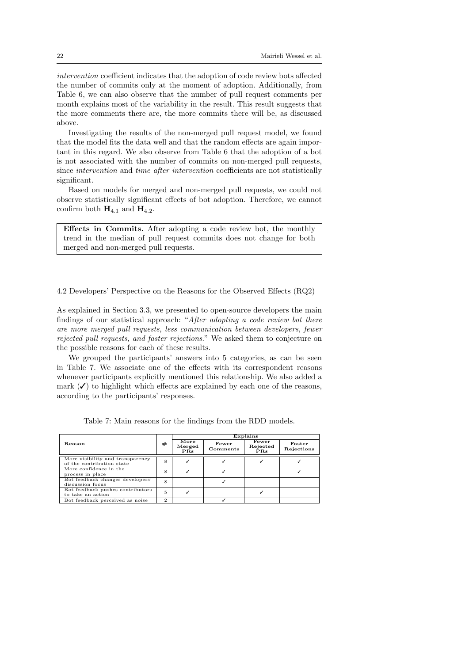intervention coefficient indicates that the adoption of code review bots affected the number of commits only at the moment of adoption. Additionally, from Table 6, we can also observe that the number of pull request comments per month explains most of the variability in the result. This result suggests that the more comments there are, the more commits there will be, as discussed above.

Investigating the results of the non-merged pull request model, we found that the model fits the data well and that the random effects are again important in this regard. We also observe from Table 6 that the adoption of a bot is not associated with the number of commits on non-merged pull requests, since *intervention* and *time\_after\_intervention* coefficients are not statistically significant.

Based on models for merged and non-merged pull requests, we could not observe statistically significant effects of bot adoption. Therefore, we cannot confirm both  $H_{4,1}$  and  $H_{4,2}$ .

Effects in Commits. After adopting a code review bot, the monthly trend in the median of pull request commits does not change for both merged and non-merged pull requests.

4.2 Developers' Perspective on the Reasons for the Observed Effects (RQ2)

As explained in Section 3.3, we presented to open-source developers the main findings of our statistical approach: "After adopting a code review bot there are more merged pull requests, less communication between developers, fewer rejected pull requests, and faster rejections." We asked them to conjecture on the possible reasons for each of these results.

We grouped the participants' answers into 5 categories, as can be seen in Table 7. We associate one of the effects with its correspondent reasons whenever participants explicitly mentioned this relationship. We also added a mark  $(\checkmark)$  to highlight which effects are explained by each one of the reasons, according to the participants' responses.

|                                                               |                |                                             |                   | Explains                 |                      |
|---------------------------------------------------------------|----------------|---------------------------------------------|-------------------|--------------------------|----------------------|
| Reason                                                        | #              | $\overline{\mathbf{More}}$<br>Merged<br>PRs | Fewer<br>Comments | Fewer<br>Rejected<br>PRs | Faster<br>Rejections |
| More visibility and transparency<br>of the contribution state | 8              |                                             |                   |                          |                      |
| More confidence in the<br>process in place                    | 8              |                                             |                   |                          |                      |
| Bot feedback changes developers'<br>discussion focus          | 8              |                                             |                   |                          |                      |
| Bot feedback pushes contributors<br>to take an action         | 5              |                                             |                   |                          |                      |
| Bot feedback perceived as noise                               | $\overline{2}$ |                                             |                   |                          |                      |

Table 7: Main reasons for the findings from the RDD models.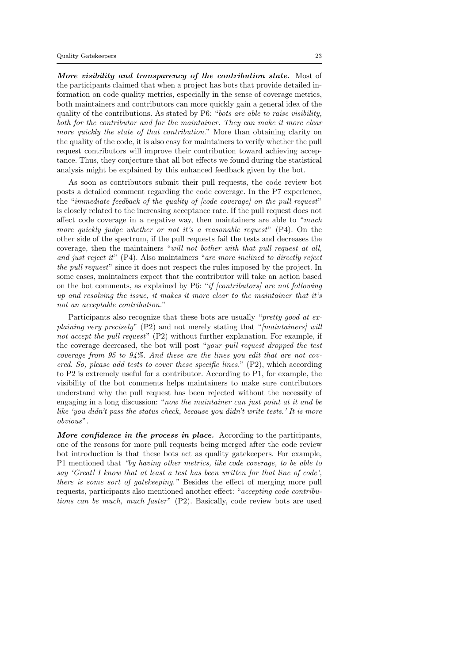More visibility and transparency of the contribution state. Most of the participants claimed that when a project has bots that provide detailed information on code quality metrics, especially in the sense of coverage metrics, both maintainers and contributors can more quickly gain a general idea of the quality of the contributions. As stated by P6: "bots are able to raise visibility, both for the contributor and for the maintainer. They can make it more clear more quickly the state of that contribution." More than obtaining clarity on the quality of the code, it is also easy for maintainers to verify whether the pull request contributors will improve their contribution toward achieving acceptance. Thus, they conjecture that all bot effects we found during the statistical analysis might be explained by this enhanced feedback given by the bot.

As soon as contributors submit their pull requests, the code review bot posts a detailed comment regarding the code coverage. In the P7 experience, the "immediate feedback of the quality of [code coverage] on the pull request" is closely related to the increasing acceptance rate. If the pull request does not affect code coverage in a negative way, then maintainers are able to "much more quickly judge whether or not it's a reasonable request"  $(P4)$ . On the other side of the spectrum, if the pull requests fail the tests and decreases the coverage, then the maintainers "will not bother with that pull request at all, and just reject it" (P4). Also maintainers "are more inclined to directly reject the pull request" since it does not respect the rules imposed by the project. In some cases, maintainers expect that the contributor will take an action based on the bot comments, as explained by P6: "if [contributors] are not following up and resolving the issue, it makes it more clear to the maintainer that it's not an acceptable contribution."

Participants also recognize that these bots are usually "*pretty good at ex*plaining very precisely"  $(P2)$  and not merely stating that "*[maintainers] will* not accept the pull request" (P2) without further explanation. For example, if the coverage decreased, the bot will post "your pull request dropped the test coverage from 95 to 94%. And these are the lines you edit that are not covered. So, please add tests to cover these specific lines."  $(P2)$ , which according to P2 is extremely useful for a contributor. According to P1, for example, the visibility of the bot comments helps maintainers to make sure contributors understand why the pull request has been rejected without the necessity of engaging in a long discussion: "now the maintainer can just point at it and be like 'you didn't pass the status check, because you didn't write tests.' It is more obvious".

More confidence in the process in place. According to the participants, one of the reasons for more pull requests being merged after the code review bot introduction is that these bots act as quality gatekeepers. For example, P1 mentioned that "by having other metrics, like code coverage, to be able to say 'Great! I know that at least a test has been written for that line of code', there is some sort of gatekeeping." Besides the effect of merging more pull requests, participants also mentioned another effect: "accepting code contributions can be much, much faster" (P2). Basically, code review bots are used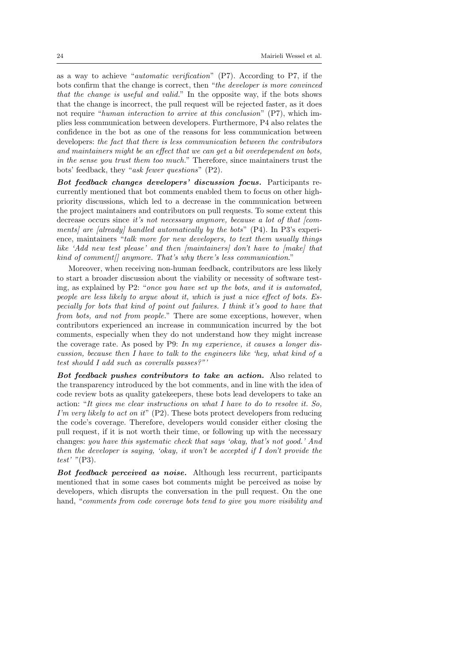as a way to achieve "*automatic verification*"  $(P7)$ . According to P7, if the bots confirm that the change is correct, then "the developer is more convinced that the change is useful and valid." In the opposite way, if the bots shows that the change is incorrect, the pull request will be rejected faster, as it does not require "human interaction to arrive at this conclusion" (P7), which implies less communication between developers. Furthermore, P4 also relates the confidence in the bot as one of the reasons for less communication between developers: the fact that there is less communication between the contributors and maintainers might be an effect that we can get a bit overdependent on bots, in the sense you trust them too much." Therefore, since maintainers trust the bots' feedback, they "ask fewer questions" (P2).

Bot feedback changes developers' discussion focus. Participants recurrently mentioned that bot comments enabled them to focus on other highpriority discussions, which led to a decrease in the communication between the project maintainers and contributors on pull requests. To some extent this decrease occurs since it's not necessary anymore, because a lot of that  $\ell$ comments] are [already] handled automatically by the bots"  $(P4)$ . In P3's experience, maintainers "talk more for new developers, to text them usually things like 'Add new test please' and then [maintainers] don't have to [make] that kind of comment anymore. That's why there's less communication."

Moreover, when receiving non-human feedback, contributors are less likely to start a broader discussion about the viability or necessity of software testing, as explained by P2: "once you have set up the bots, and it is automated, people are less likely to argue about it, which is just a nice effect of bots. Especially for bots that kind of point out failures. I think it's good to have that from bots, and not from people." There are some exceptions, however, when contributors experienced an increase in communication incurred by the bot comments, especially when they do not understand how they might increase the coverage rate. As posed by P9: In my experience, it causes a longer discussion, because then I have to talk to the engineers like 'hey, what kind of a test should I add such as coveralls passes?"'

Bot feedback pushes contributors to take an action. Also related to the transparency introduced by the bot comments, and in line with the idea of code review bots as quality gatekeepers, these bots lead developers to take an action: "It gives me clear instructions on what I have to do to resolve it. So, I'm very likely to act on it"  $(P2)$ . These bots protect developers from reducing the code's coverage. Therefore, developers would consider either closing the pull request, if it is not worth their time, or following up with the necessary changes: you have this systematic check that says 'okay, that's not good.' And then the developer is saying, 'okay, it won't be accepted if I don't provide the test' "(P3).

Bot feedback perceived as noise. Although less recurrent, participants mentioned that in some cases bot comments might be perceived as noise by developers, which disrupts the conversation in the pull request. On the one hand, "comments from code coverage bots tend to give you more visibility and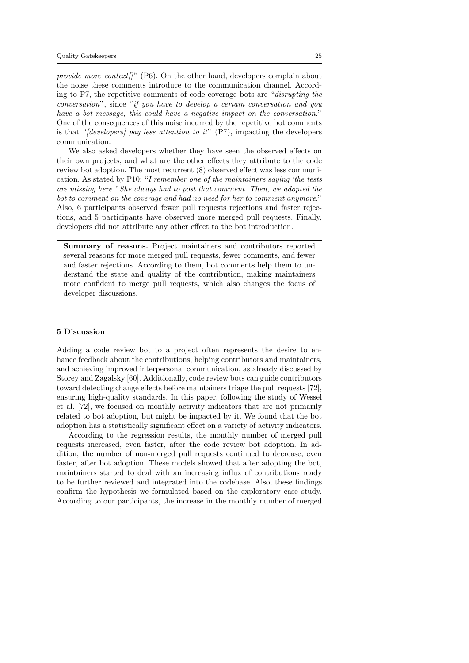provide more context  $||$ " (P6). On the other hand, developers complain about the noise these comments introduce to the communication channel. According to P7, the repetitive comments of code coverage bots are "disrupting the conversation", since "if you have to develop a certain conversation and you have a bot message, this could have a negative impact on the conversation." One of the consequences of this noise incurred by the repetitive bot comments is that "*(developers) pay less attention to it*"  $(P7)$ , impacting the developers communication.

We also asked developers whether they have seen the observed effects on their own projects, and what are the other effects they attribute to the code review bot adoption. The most recurrent (8) observed effect was less communication. As stated by P10: "I remember one of the maintainers saying 'the tests are missing here.' She always had to post that comment. Then, we adopted the bot to comment on the coverage and had no need for her to comment anymore." Also, 6 participants observed fewer pull requests rejections and faster rejections, and 5 participants have observed more merged pull requests. Finally, developers did not attribute any other effect to the bot introduction.

Summary of reasons. Project maintainers and contributors reported several reasons for more merged pull requests, fewer comments, and fewer and faster rejections. According to them, bot comments help them to understand the state and quality of the contribution, making maintainers more confident to merge pull requests, which also changes the focus of developer discussions.

### 5 Discussion

Adding a code review bot to a project often represents the desire to enhance feedback about the contributions, helping contributors and maintainers, and achieving improved interpersonal communication, as already discussed by Storey and Zagalsky [60]. Additionally, code review bots can guide contributors toward detecting change effects before maintainers triage the pull requests [72], ensuring high-quality standards. In this paper, following the study of Wessel et al. [72], we focused on monthly activity indicators that are not primarily related to bot adoption, but might be impacted by it. We found that the bot adoption has a statistically significant effect on a variety of activity indicators.

According to the regression results, the monthly number of merged pull requests increased, even faster, after the code review bot adoption. In addition, the number of non-merged pull requests continued to decrease, even faster, after bot adoption. These models showed that after adopting the bot, maintainers started to deal with an increasing influx of contributions ready to be further reviewed and integrated into the codebase. Also, these findings confirm the hypothesis we formulated based on the exploratory case study. According to our participants, the increase in the monthly number of merged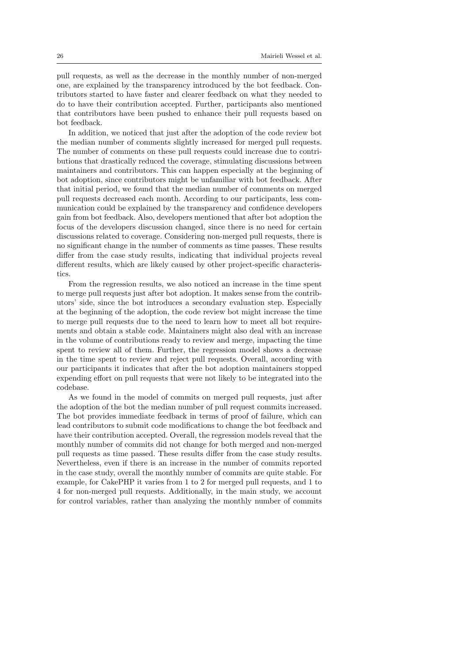pull requests, as well as the decrease in the monthly number of non-merged one, are explained by the transparency introduced by the bot feedback. Contributors started to have faster and clearer feedback on what they needed to do to have their contribution accepted. Further, participants also mentioned that contributors have been pushed to enhance their pull requests based on bot feedback.

In addition, we noticed that just after the adoption of the code review bot the median number of comments slightly increased for merged pull requests. The number of comments on these pull requests could increase due to contributions that drastically reduced the coverage, stimulating discussions between maintainers and contributors. This can happen especially at the beginning of bot adoption, since contributors might be unfamiliar with bot feedback. After that initial period, we found that the median number of comments on merged pull requests decreased each month. According to our participants, less communication could be explained by the transparency and confidence developers gain from bot feedback. Also, developers mentioned that after bot adoption the focus of the developers discussion changed, since there is no need for certain discussions related to coverage. Considering non-merged pull requests, there is no significant change in the number of comments as time passes. These results differ from the case study results, indicating that individual projects reveal different results, which are likely caused by other project-specific characteristics.

From the regression results, we also noticed an increase in the time spent to merge pull requests just after bot adoption. It makes sense from the contributors' side, since the bot introduces a secondary evaluation step. Especially at the beginning of the adoption, the code review bot might increase the time to merge pull requests due to the need to learn how to meet all bot requirements and obtain a stable code. Maintainers might also deal with an increase in the volume of contributions ready to review and merge, impacting the time spent to review all of them. Further, the regression model shows a decrease in the time spent to review and reject pull requests. Overall, according with our participants it indicates that after the bot adoption maintainers stopped expending effort on pull requests that were not likely to be integrated into the codebase.

As we found in the model of commits on merged pull requests, just after the adoption of the bot the median number of pull request commits increased. The bot provides immediate feedback in terms of proof of failure, which can lead contributors to submit code modifications to change the bot feedback and have their contribution accepted. Overall, the regression models reveal that the monthly number of commits did not change for both merged and non-merged pull requests as time passed. These results differ from the case study results. Nevertheless, even if there is an increase in the number of commits reported in the case study, overall the monthly number of commits are quite stable. For example, for CakePHP it varies from 1 to 2 for merged pull requests, and 1 to 4 for non-merged pull requests. Additionally, in the main study, we account for control variables, rather than analyzing the monthly number of commits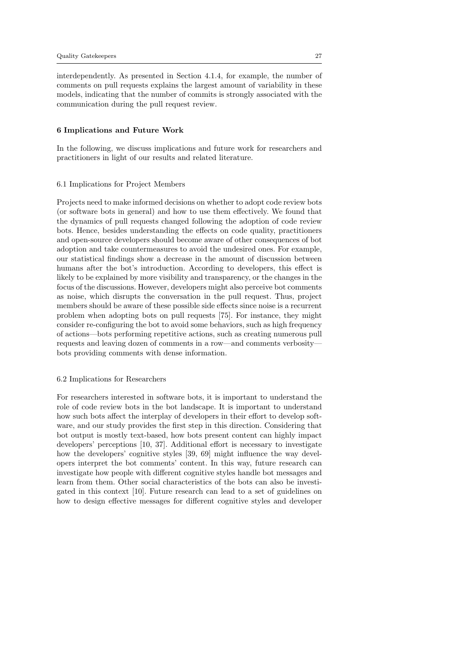interdependently. As presented in Section 4.1.4, for example, the number of comments on pull requests explains the largest amount of variability in these models, indicating that the number of commits is strongly associated with the communication during the pull request review.

#### 6 Implications and Future Work

In the following, we discuss implications and future work for researchers and practitioners in light of our results and related literature.

### 6.1 Implications for Project Members

Projects need to make informed decisions on whether to adopt code review bots (or software bots in general) and how to use them effectively. We found that the dynamics of pull requests changed following the adoption of code review bots. Hence, besides understanding the effects on code quality, practitioners and open-source developers should become aware of other consequences of bot adoption and take countermeasures to avoid the undesired ones. For example, our statistical findings show a decrease in the amount of discussion between humans after the bot's introduction. According to developers, this effect is likely to be explained by more visibility and transparency, or the changes in the focus of the discussions. However, developers might also perceive bot comments as noise, which disrupts the conversation in the pull request. Thus, project members should be aware of these possible side effects since noise is a recurrent problem when adopting bots on pull requests [75]. For instance, they might consider re-configuring the bot to avoid some behaviors, such as high frequency of actions—bots performing repetitive actions, such as creating numerous pull requests and leaving dozen of comments in a row—and comments verbosity bots providing comments with dense information.

#### 6.2 Implications for Researchers

For researchers interested in software bots, it is important to understand the role of code review bots in the bot landscape. It is important to understand how such bots affect the interplay of developers in their effort to develop software, and our study provides the first step in this direction. Considering that bot output is mostly text-based, how bots present content can highly impact developers' perceptions [10, 37]. Additional effort is necessary to investigate how the developers' cognitive styles [39, 69] might influence the way developers interpret the bot comments' content. In this way, future research can investigate how people with different cognitive styles handle bot messages and learn from them. Other social characteristics of the bots can also be investigated in this context [10]. Future research can lead to a set of guidelines on how to design effective messages for different cognitive styles and developer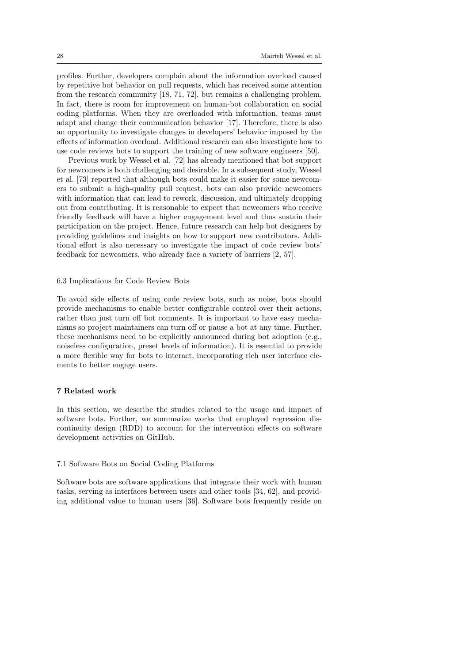profiles. Further, developers complain about the information overload caused by repetitive bot behavior on pull requests, which has received some attention from the research community [18, 71, 72], but remains a challenging problem. In fact, there is room for improvement on human-bot collaboration on social coding platforms. When they are overloaded with information, teams must adapt and change their communication behavior [17]. Therefore, there is also an opportunity to investigate changes in developers' behavior imposed by the effects of information overload. Additional research can also investigate how to use code reviews bots to support the training of new software engineers [50].

Previous work by Wessel et al. [72] has already mentioned that bot support for newcomers is both challenging and desirable. In a subsequent study, Wessel et al. [73] reported that although bots could make it easier for some newcomers to submit a high-quality pull request, bots can also provide newcomers with information that can lead to rework, discussion, and ultimately dropping out from contributing. It is reasonable to expect that newcomers who receive friendly feedback will have a higher engagement level and thus sustain their participation on the project. Hence, future research can help bot designers by providing guidelines and insights on how to support new contributors. Additional effort is also necessary to investigate the impact of code review bots' feedback for newcomers, who already face a variety of barriers [2, 57].

### 6.3 Implications for Code Review Bots

To avoid side effects of using code review bots, such as noise, bots should provide mechanisms to enable better configurable control over their actions, rather than just turn off bot comments. It is important to have easy mechanisms so project maintainers can turn off or pause a bot at any time. Further, these mechanisms need to be explicitly announced during bot adoption (e.g., noiseless configuration, preset levels of information). It is essential to provide a more flexible way for bots to interact, incorporating rich user interface elements to better engage users.

# 7 Related work

In this section, we describe the studies related to the usage and impact of software bots. Further, we summarize works that employed regression discontinuity design (RDD) to account for the intervention effects on software development activities on GitHub.

### 7.1 Software Bots on Social Coding Platforms

Software bots are software applications that integrate their work with human tasks, serving as interfaces between users and other tools [34, 62], and providing additional value to human users [36]. Software bots frequently reside on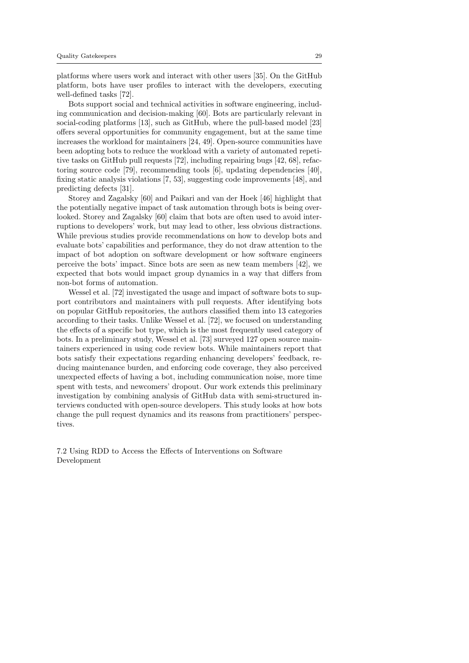platforms where users work and interact with other users [35]. On the GitHub platform, bots have user profiles to interact with the developers, executing well-defined tasks [72].

Bots support social and technical activities in software engineering, including communication and decision-making [60]. Bots are particularly relevant in social-coding platforms [13], such as GitHub, where the pull-based model [23] offers several opportunities for community engagement, but at the same time increases the workload for maintainers [24, 49]. Open-source communities have been adopting bots to reduce the workload with a variety of automated repetitive tasks on GitHub pull requests [72], including repairing bugs [42, 68], refactoring source code [79], recommending tools [6], updating dependencies [40], fixing static analysis violations [7, 53], suggesting code improvements [48], and predicting defects [31].

Storey and Zagalsky [60] and Paikari and van der Hoek [46] highlight that the potentially negative impact of task automation through bots is being overlooked. Storey and Zagalsky [60] claim that bots are often used to avoid interruptions to developers' work, but may lead to other, less obvious distractions. While previous studies provide recommendations on how to develop bots and evaluate bots' capabilities and performance, they do not draw attention to the impact of bot adoption on software development or how software engineers perceive the bots' impact. Since bots are seen as new team members [42], we expected that bots would impact group dynamics in a way that differs from non-bot forms of automation.

Wessel et al. [72] investigated the usage and impact of software bots to support contributors and maintainers with pull requests. After identifying bots on popular GitHub repositories, the authors classified them into 13 categories according to their tasks. Unlike Wessel et al. [72], we focused on understanding the effects of a specific bot type, which is the most frequently used category of bots. In a preliminary study, Wessel et al. [73] surveyed 127 open source maintainers experienced in using code review bots. While maintainers report that bots satisfy their expectations regarding enhancing developers' feedback, reducing maintenance burden, and enforcing code coverage, they also perceived unexpected effects of having a bot, including communication noise, more time spent with tests, and newcomers' dropout. Our work extends this preliminary investigation by combining analysis of GitHub data with semi-structured interviews conducted with open-source developers. This study looks at how bots change the pull request dynamics and its reasons from practitioners' perspectives.

7.2 Using RDD to Access the Effects of Interventions on Software Development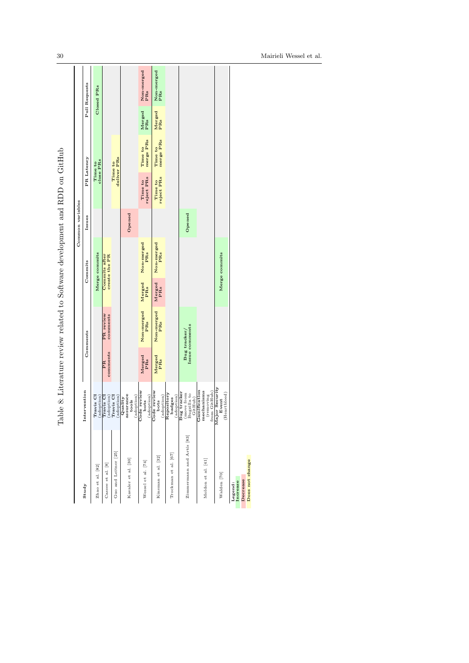|                                                    |                                                                                                        |                       |                                |               |                                       | Common variables |                       |                        |               |                   |
|----------------------------------------------------|--------------------------------------------------------------------------------------------------------|-----------------------|--------------------------------|---------------|---------------------------------------|------------------|-----------------------|------------------------|---------------|-------------------|
| Study                                              | Intervention                                                                                           |                       | Comments                       |               | Commits                               | Issues           |                       | PR Latency             |               | Pull Requests     |
| Zhao et al. [82]                                   | Travis CI<br>adoption)                                                                                 |                       |                                |               | Merge commits                         |                  |                       | close PRs<br>Time to   |               | Closed PRs        |
| Cassee et al. [8]                                  | adoption)<br>Travis Cl                                                                                 | comments<br><b>Rd</b> | PR review<br>comments          |               | create the PR<br><b>Commits after</b> |                  |                       |                        |               |                   |
| Guo and Leitner [25]                               | Travis <sub>CI</sub><br>adoption)                                                                      |                       |                                |               |                                       |                  |                       | deliver PRs<br>Time to |               |                   |
| Kavaler et al. [30]                                | assurance<br>adoption)<br>Quality<br>tools                                                             |                       |                                |               |                                       | Opened           |                       |                        |               |                   |
| Wessel et al. [74]                                 | Code review<br>(adoption)<br>bots                                                                      | Merged<br>PRs         | Non-merged<br>PRs              | Merged<br>PRs | Non-merged<br><b>PRs</b>              |                  | Time to<br>reject PRs | merge PRs<br>Time to   | Merged<br>PRs | Non-merged<br>PRs |
| Kinsman et al. [32]                                | Code review<br>$\frac{\text{(adoption)}}{\text{Repository}}$<br>bots                                   | Merged<br>PRs         | Non-merged<br>PRs              | Merged<br>PRs | Non-merged<br>PRs                     |                  | Time to<br>reject PRs | merge PRs<br>Time to   | Merged<br>PRs | Non-merged<br>PRs |
| Trockman et al. [67]                               | $(a\text{d}$ option $)$<br>badges                                                                      |                       |                                |               |                                       |                  |                       |                        |               |                   |
| Zimmermann and Artis [83]                          | Bug tracker<br>(move from<br>Bugzilla to<br>GitHub)                                                    |                       | Issue comments<br>Bug tracker/ |               |                                       | Opened           |                       |                        |               |                   |
| Moldon et al. [41]                                 | Gamification<br>mechanisms<br>$\begin{array}{c} {\rm (removing} \\ {\rm from\,\, GitHub)} \end{array}$ |                       |                                |               |                                       |                  |                       |                        |               |                   |
| Walden [70]                                        | Major Security<br>(Heartbleed)<br>Event                                                                |                       |                                |               | Merge commits                         |                  |                       |                        |               |                   |
| Does not change<br>Decrease<br>Legend:<br>Increase |                                                                                                        |                       |                                |               |                                       |                  |                       |                        |               |                   |

Table 8: Literature review related to Software development and RDD on GitHub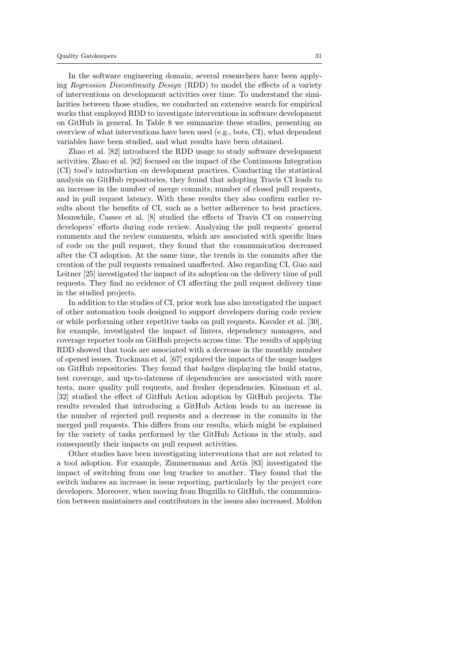In the software engineering domain, several researchers have been applying Regression Discontinuity Design (RDD) to model the effects of a variety of interventions on development activities over time. To understand the similarities between those studies, we conducted an extensive search for empirical works that employed RDD to investigate interventions in software development on GitHub in general. In Table 8 we summarize these studies, presenting an overview of what interventions have been used (e.g., bots, CI), what dependent variables have been studied, and what results have been obtained.

Zhao et al. [82] introduced the RDD usage to study software development activities. Zhao et al. [82] focused on the impact of the Continuous Integration (CI) tool's introduction on development practices. Conducting the statistical analysis on GitHub repositories, they found that adopting Travis CI leads to an increase in the number of merge commits, number of closed pull requests, and in pull request latency. With these results they also confirm earlier results about the benefits of CI, such as a better adherence to best practices. Meanwhile, Cassee et al. [8] studied the effects of Travis CI on conserving developers' efforts during code review. Analyzing the pull requests' general comments and the review comments, which are associated with specific lines of code on the pull request, they found that the communication decreased after the CI adoption. At the same time, the trends in the commits after the creation of the pull requests remained unaffected. Also regarding CI, Guo and Leitner [25] investigated the impact of its adoption on the delivery time of pull requests. They find no evidence of CI affecting the pull request delivery time in the studied projects.

In addition to the studies of CI, prior work has also investigated the impact of other automation tools designed to support developers during code review or while performing other repetitive tasks on pull requests. Kavaler et al. [30], for example, investigated the impact of linters, dependency managers, and coverage reporter tools on GitHub projects across time. The results of applying RDD showed that tools are associated with a decrease in the monthly number of opened issues. Trockman et al. [67] explored the impacts of the usage badges on GitHub repositories. They found that badges displaying the build status, test coverage, and up-to-dateness of dependencies are associated with more tests, more quality pull requests, and fresher dependencies. Kinsman et al. [32] studied the effect of GitHub Action adoption by GitHub projects. The results revealed that introducing a GitHub Action leads to an increase in the number of rejected pull requests and a decrease in the commits in the merged pull requests. This differs from our results, which might be explained by the variety of tasks performed by the GitHub Actions in the study, and consequently their impacts on pull request activities.

Other studies have been investigating interventions that are not related to a tool adoption. For example, Zimmermann and Artis [83] investigated the impact of switching from one bug tracker to another. They found that the switch induces an increase in issue reporting, particularly by the project core developers. Moreover, when moving from Bugzilla to GitHub, the communication between maintainers and contributors in the issues also increased. Moldon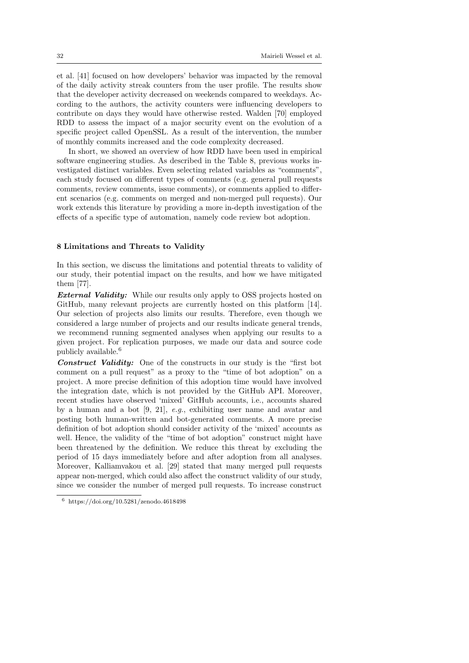et al. [41] focused on how developers' behavior was impacted by the removal of the daily activity streak counters from the user profile. The results show that the developer activity decreased on weekends compared to weekdays. According to the authors, the activity counters were influencing developers to contribute on days they would have otherwise rested. Walden [70] employed RDD to assess the impact of a major security event on the evolution of a specific project called OpenSSL. As a result of the intervention, the number of monthly commits increased and the code complexity decreased.

In short, we showed an overview of how RDD have been used in empirical software engineering studies. As described in the Table 8, previous works investigated distinct variables. Even selecting related variables as "comments", each study focused on different types of comments (e.g. general pull requests comments, review comments, issue comments), or comments applied to different scenarios (e.g. comments on merged and non-merged pull requests). Our work extends this literature by providing a more in-depth investigation of the effects of a specific type of automation, namely code review bot adoption.

### 8 Limitations and Threats to Validity

In this section, we discuss the limitations and potential threats to validity of our study, their potential impact on the results, and how we have mitigated them [77].

**External Validity:** While our results only apply to OSS projects hosted on GitHub, many relevant projects are currently hosted on this platform [14]. Our selection of projects also limits our results. Therefore, even though we considered a large number of projects and our results indicate general trends, we recommend running segmented analyses when applying our results to a given project. For replication purposes, we made our data and source code publicly available.<sup>6</sup>

Construct Validity: One of the constructs in our study is the "first bot comment on a pull request" as a proxy to the "time of bot adoption" on a project. A more precise definition of this adoption time would have involved the integration date, which is not provided by the GitHub API. Moreover, recent studies have observed 'mixed' GitHub accounts, i.e., accounts shared by a human and a bot  $[9, 21]$ , e.g., exhibiting user name and avatar and posting both human-written and bot-generated comments. A more precise definition of bot adoption should consider activity of the 'mixed' accounts as well. Hence, the validity of the "time of bot adoption" construct might have been threatened by the definition. We reduce this threat by excluding the period of 15 days immediately before and after adoption from all analyses. Moreover, Kalliamvakou et al. [29] stated that many merged pull requests appear non-merged, which could also affect the construct validity of our study, since we consider the number of merged pull requests. To increase construct

<sup>6</sup> https://doi.org/10.5281/zenodo.4618498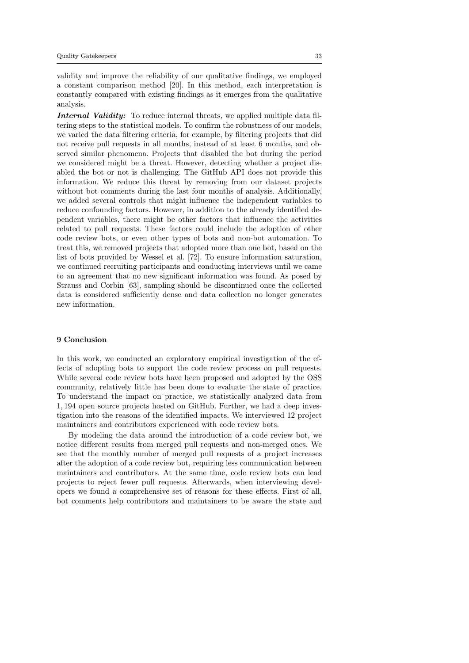validity and improve the reliability of our qualitative findings, we employed a constant comparison method [20]. In this method, each interpretation is constantly compared with existing findings as it emerges from the qualitative analysis.

Internal Validity: To reduce internal threats, we applied multiple data filtering steps to the statistical models. To confirm the robustness of our models, we varied the data filtering criteria, for example, by filtering projects that did not receive pull requests in all months, instead of at least 6 months, and observed similar phenomena. Projects that disabled the bot during the period we considered might be a threat. However, detecting whether a project disabled the bot or not is challenging. The GitHub API does not provide this information. We reduce this threat by removing from our dataset projects without bot comments during the last four months of analysis. Additionally, we added several controls that might influence the independent variables to reduce confounding factors. However, in addition to the already identified dependent variables, there might be other factors that influence the activities related to pull requests. These factors could include the adoption of other code review bots, or even other types of bots and non-bot automation. To treat this, we removed projects that adopted more than one bot, based on the list of bots provided by Wessel et al. [72]. To ensure information saturation, we continued recruiting participants and conducting interviews until we came to an agreement that no new significant information was found. As posed by Strauss and Corbin [63], sampling should be discontinued once the collected data is considered sufficiently dense and data collection no longer generates new information.

### 9 Conclusion

In this work, we conducted an exploratory empirical investigation of the effects of adopting bots to support the code review process on pull requests. While several code review bots have been proposed and adopted by the OSS community, relatively little has been done to evaluate the state of practice. To understand the impact on practice, we statistically analyzed data from 1, 194 open source projects hosted on GitHub. Further, we had a deep investigation into the reasons of the identified impacts. We interviewed 12 project maintainers and contributors experienced with code review bots.

By modeling the data around the introduction of a code review bot, we notice different results from merged pull requests and non-merged ones. We see that the monthly number of merged pull requests of a project increases after the adoption of a code review bot, requiring less communication between maintainers and contributors. At the same time, code review bots can lead projects to reject fewer pull requests. Afterwards, when interviewing developers we found a comprehensive set of reasons for these effects. First of all, bot comments help contributors and maintainers to be aware the state and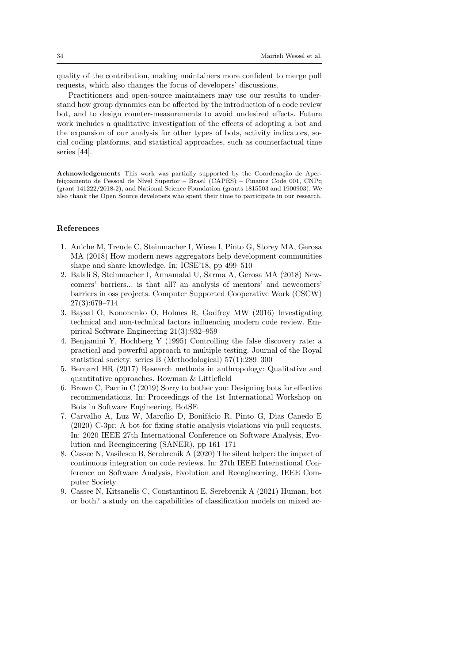quality of the contribution, making maintainers more confident to merge pull requests, which also changes the focus of developers' discussions.

Practitioners and open-source maintainers may use our results to understand how group dynamics can be affected by the introduction of a code review bot, and to design counter-measurements to avoid undesired effects. Future work includes a qualitative investigation of the effects of adopting a bot and the expansion of our analysis for other types of bots, activity indicators, social coding platforms, and statistical approaches, such as counterfactual time series [44].

Acknowledgements This work was partially supported by the Coordenação de Aperfeiçoamento de Pessoal de Nível Superior – Brasil (CAPES) – Finance Code 001, CNPq (grant 141222/2018-2), and National Science Foundation (grants 1815503 and 1900903). We also thank the Open Source developers who spent their time to participate in our research.

### References

- 1. Aniche M, Treude C, Steinmacher I, Wiese I, Pinto G, Storey MA, Gerosa MA (2018) How modern news aggregators help development communities shape and share knowledge. In: ICSE'18, pp 499–510
- 2. Balali S, Steinmacher I, Annamalai U, Sarma A, Gerosa MA (2018) Newcomers' barriers... is that all? an analysis of mentors' and newcomers' barriers in oss projects. Computer Supported Cooperative Work (CSCW) 27(3):679–714
- 3. Baysal O, Kononenko O, Holmes R, Godfrey MW (2016) Investigating technical and non-technical factors influencing modern code review. Empirical Software Engineering 21(3):932–959
- 4. Benjamini Y, Hochberg Y (1995) Controlling the false discovery rate: a practical and powerful approach to multiple testing. Journal of the Royal statistical society: series B (Methodological) 57(1):289–300
- 5. Bernard HR (2017) Research methods in anthropology: Qualitative and quantitative approaches. Rowman & Littlefield
- 6. Brown C, Parnin C (2019) Sorry to bother you: Designing bots for effective recommendations. In: Proceedings of the 1st International Workshop on Bots in Software Engineering, BotSE
- 7. Carvalho A, Luz W, Marcílio D, Bonifácio R, Pinto G, Dias Canedo E (2020) C-3pr: A bot for fixing static analysis violations via pull requests. In: 2020 IEEE 27th International Conference on Software Analysis, Evolution and Reengineering (SANER), pp 161–171
- 8. Cassee N, Vasilescu B, Serebrenik A (2020) The silent helper: the impact of continuous integration on code reviews. In: 27th IEEE International Conference on Software Analysis, Evolution and Reengineering, IEEE Computer Society
- 9. Cassee N, Kitsanelis C, Constantinou E, Serebrenik A (2021) Human, bot or both? a study on the capabilities of classification models on mixed ac-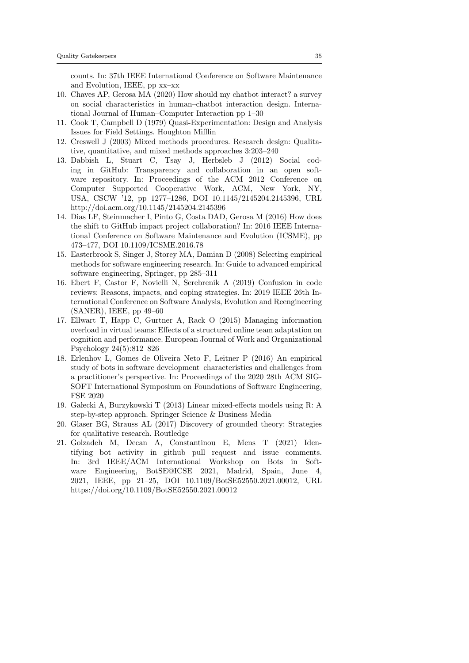counts. In: 37th IEEE International Conference on Software Maintenance and Evolution, IEEE, pp xx–xx

- 10. Chaves AP, Gerosa MA (2020) How should my chatbot interact? a survey on social characteristics in human–chatbot interaction design. International Journal of Human–Computer Interaction pp 1–30
- 11. Cook T, Campbell D (1979) Quasi-Experimentation: Design and Analysis Issues for Field Settings. Houghton Mifflin
- 12. Creswell J (2003) Mixed methods procedures. Research design: Qualitative, quantitative, and mixed methods approaches 3:203–240
- 13. Dabbish L, Stuart C, Tsay J, Herbsleb J (2012) Social coding in GitHub: Transparency and collaboration in an open software repository. In: Proceedings of the ACM 2012 Conference on Computer Supported Cooperative Work, ACM, New York, NY, USA, CSCW '12, pp 1277–1286, DOI 10.1145/2145204.2145396, URL http://doi.acm.org/10.1145/2145204.2145396
- 14. Dias LF, Steinmacher I, Pinto G, Costa DAD, Gerosa M (2016) How does the shift to GitHub impact project collaboration? In: 2016 IEEE International Conference on Software Maintenance and Evolution (ICSME), pp 473–477, DOI 10.1109/ICSME.2016.78
- 15. Easterbrook S, Singer J, Storey MA, Damian D (2008) Selecting empirical methods for software engineering research. In: Guide to advanced empirical software engineering, Springer, pp 285–311
- 16. Ebert F, Castor F, Novielli N, Serebrenik A (2019) Confusion in code reviews: Reasons, impacts, and coping strategies. In: 2019 IEEE 26th International Conference on Software Analysis, Evolution and Reengineering (SANER), IEEE, pp 49–60
- 17. Ellwart T, Happ C, Gurtner A, Rack O (2015) Managing information overload in virtual teams: Effects of a structured online team adaptation on cognition and performance. European Journal of Work and Organizational Psychology 24(5):812–826
- 18. Erlenhov L, Gomes de Oliveira Neto F, Leitner P (2016) An empirical study of bots in software development–characteristics and challenges from a practitioner's perspective. In: Proceedings of the 2020 28th ACM SIG-SOFT International Symposium on Foundations of Software Engineering, FSE 2020
- 19. Ga lecki A, Burzykowski T (2013) Linear mixed-effects models using R: A step-by-step approach. Springer Science & Business Media
- 20. Glaser BG, Strauss AL (2017) Discovery of grounded theory: Strategies for qualitative research. Routledge
- 21. Golzadeh M, Decan A, Constantinou E, Mens T (2021) Identifying bot activity in github pull request and issue comments. In: 3rd IEEE/ACM International Workshop on Bots in Software Engineering, BotSE@ICSE 2021, Madrid, Spain, June 4, 2021, IEEE, pp 21–25, DOI 10.1109/BotSE52550.2021.00012, URL https://doi.org/10.1109/BotSE52550.2021.00012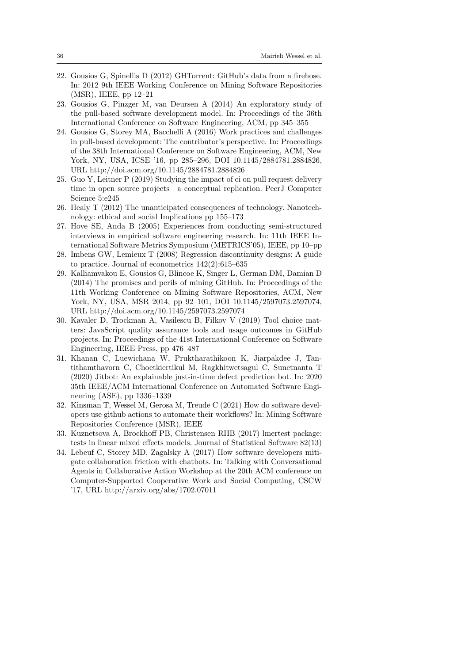- 22. Gousios G, Spinellis D (2012) GHTorrent: GitHub's data from a firehose. In: 2012 9th IEEE Working Conference on Mining Software Repositories (MSR), IEEE, pp 12–21
- 23. Gousios G, Pinzger M, van Deursen A (2014) An exploratory study of the pull-based software development model. In: Proceedings of the 36th International Conference on Software Engineering, ACM, pp 345–355
- 24. Gousios G, Storey MA, Bacchelli A (2016) Work practices and challenges in pull-based development: The contributor's perspective. In: Proceedings of the 38th International Conference on Software Engineering, ACM, New York, NY, USA, ICSE '16, pp 285–296, DOI 10.1145/2884781.2884826, URL http://doi.acm.org/10.1145/2884781.2884826
- 25. Guo Y, Leitner P (2019) Studying the impact of ci on pull request delivery time in open source projects—a conceptual replication. PeerJ Computer Science 5:e245
- 26. Healy T (2012) The unanticipated consequences of technology. Nanotechnology: ethical and social Implications pp 155–173
- 27. Hove SE, Anda B (2005) Experiences from conducting semi-structured interviews in empirical software engineering research. In: 11th IEEE International Software Metrics Symposium (METRICS'05), IEEE, pp 10–pp
- 28. Imbens GW, Lemieux T (2008) Regression discontinuity designs: A guide to practice. Journal of econometrics 142(2):615–635
- 29. Kalliamvakou E, Gousios G, Blincoe K, Singer L, German DM, Damian D (2014) The promises and perils of mining GitHub. In: Proceedings of the 11th Working Conference on Mining Software Repositories, ACM, New York, NY, USA, MSR 2014, pp 92–101, DOI 10.1145/2597073.2597074, URL http://doi.acm.org/10.1145/2597073.2597074
- 30. Kavaler D, Trockman A, Vasilescu B, Filkov V (2019) Tool choice matters: JavaScript quality assurance tools and usage outcomes in GitHub projects. In: Proceedings of the 41st International Conference on Software Engineering, IEEE Press, pp 476–487
- 31. Khanan C, Luewichana W, Pruktharathikoon K, Jiarpakdee J, Tantithamthavorn C, Choetkiertikul M, Ragkhitwetsagul C, Sunetnanta T (2020) Jitbot: An explainable just-in-time defect prediction bot. In: 2020 35th IEEE/ACM International Conference on Automated Software Engineering (ASE), pp 1336–1339
- 32. Kinsman T, Wessel M, Gerosa M, Treude C (2021) How do software developers use github actions to automate their workflows? In: Mining Software Repositories Conference (MSR), IEEE
- 33. Kuznetsova A, Brockhoff PB, Christensen RHB (2017) lmertest package: tests in linear mixed effects models. Journal of Statistical Software 82(13)
- 34. Lebeuf C, Storey MD, Zagalsky A (2017) How software developers mitigate collaboration friction with chatbots. In: Talking with Conversational Agents in Collaborative Action Workshop at the 20th ACM conference on Computer-Supported Cooperative Work and Social Computing, CSCW '17, URL http://arxiv.org/abs/1702.07011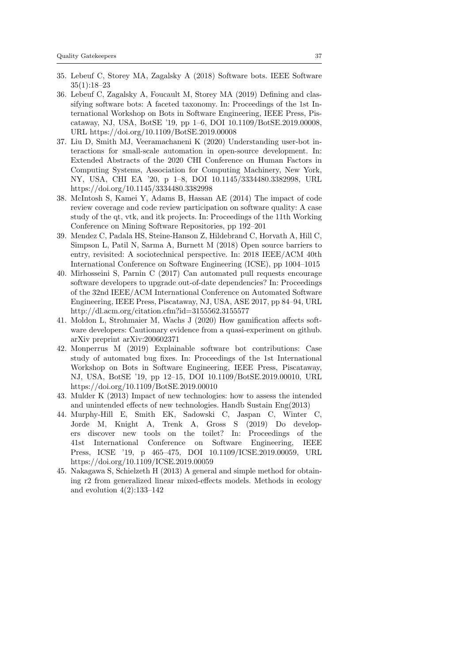- 35. Lebeuf C, Storey MA, Zagalsky A (2018) Software bots. IEEE Software 35(1):18–23
- 36. Lebeuf C, Zagalsky A, Foucault M, Storey MA (2019) Defining and classifying software bots: A faceted taxonomy. In: Proceedings of the 1st International Workshop on Bots in Software Engineering, IEEE Press, Piscataway, NJ, USA, BotSE '19, pp 1–6, DOI 10.1109/BotSE.2019.00008, URL https://doi.org/10.1109/BotSE.2019.00008
- 37. Liu D, Smith MJ, Veeramachaneni K (2020) Understanding user-bot interactions for small-scale automation in open-source development. In: Extended Abstracts of the 2020 CHI Conference on Human Factors in Computing Systems, Association for Computing Machinery, New York, NY, USA, CHI EA '20, p 1–8, DOI 10.1145/3334480.3382998, URL https://doi.org/10.1145/3334480.3382998
- 38. McIntosh S, Kamei Y, Adams B, Hassan AE (2014) The impact of code review coverage and code review participation on software quality: A case study of the qt, vtk, and itk projects. In: Proceedings of the 11th Working Conference on Mining Software Repositories, pp 192–201
- 39. Mendez C, Padala HS, Steine-Hanson Z, Hildebrand C, Horvath A, Hill C, Simpson L, Patil N, Sarma A, Burnett M (2018) Open source barriers to entry, revisited: A sociotechnical perspective. In: 2018 IEEE/ACM 40th International Conference on Software Engineering (ICSE), pp 1004–1015
- 40. Mirhosseini S, Parnin C (2017) Can automated pull requests encourage software developers to upgrade out-of-date dependencies? In: Proceedings of the 32nd IEEE/ACM International Conference on Automated Software Engineering, IEEE Press, Piscataway, NJ, USA, ASE 2017, pp 84–94, URL http://dl.acm.org/citation.cfm?id=3155562.3155577
- 41. Moldon L, Strohmaier M, Wachs J (2020) How gamification affects software developers: Cautionary evidence from a quasi-experiment on github. arXiv preprint arXiv:200602371
- 42. Monperrus M (2019) Explainable software bot contributions: Case study of automated bug fixes. In: Proceedings of the 1st International Workshop on Bots in Software Engineering, IEEE Press, Piscataway, NJ, USA, BotSE '19, pp 12–15, DOI 10.1109/BotSE.2019.00010, URL https://doi.org/10.1109/BotSE.2019.00010
- 43. Mulder K (2013) Impact of new technologies: how to assess the intended and unintended effects of new technologies. Handb Sustain Eng(2013)
- 44. Murphy-Hill E, Smith EK, Sadowski C, Jaspan C, Winter C, Jorde M, Knight A, Trenk A, Gross S (2019) Do developers discover new tools on the toilet? In: Proceedings of the 41st International Conference on Software Engineering, IEEE Press, ICSE '19, p 465–475, DOI 10.1109/ICSE.2019.00059, URL https://doi.org/10.1109/ICSE.2019.00059
- 45. Nakagawa S, Schielzeth H (2013) A general and simple method for obtaining r2 from generalized linear mixed-effects models. Methods in ecology and evolution  $4(2):133-142$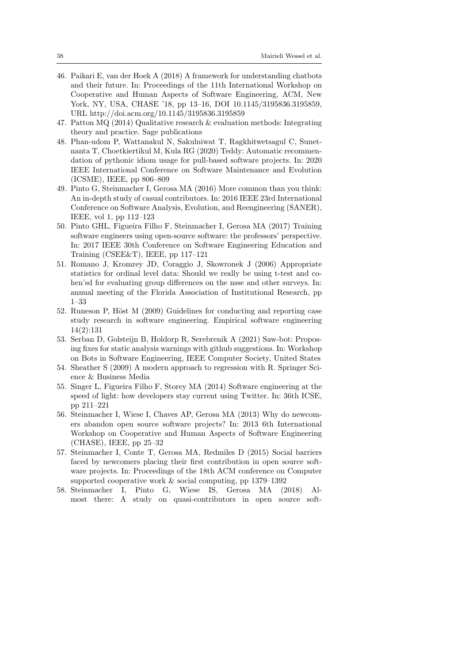- 46. Paikari E, van der Hoek A (2018) A framework for understanding chatbots and their future. In: Proceedings of the 11th International Workshop on Cooperative and Human Aspects of Software Engineering, ACM, New York, NY, USA, CHASE '18, pp 13–16, DOI 10.1145/3195836.3195859, URL http://doi.acm.org/10.1145/3195836.3195859
- 47. Patton MQ (2014) Qualitative research & evaluation methods: Integrating theory and practice. Sage publications
- 48. Phan-udom P, Wattanakul N, Sakulniwat T, Ragkhitwetsagul C, Sunetnanta T, Choetkiertikul M, Kula RG (2020) Teddy: Automatic recommendation of pythonic idiom usage for pull-based software projects. In: 2020 IEEE International Conference on Software Maintenance and Evolution (ICSME), IEEE, pp 806–809
- 49. Pinto G, Steinmacher I, Gerosa MA (2016) More common than you think: An in-depth study of casual contributors. In: 2016 IEEE 23rd International Conference on Software Analysis, Evolution, and Reengineering (SANER), IEEE, vol 1, pp 112–123
- 50. Pinto GHL, Figueira Filho F, Steinmacher I, Gerosa MA (2017) Training software engineers using open-source software: the professors' perspective. In: 2017 IEEE 30th Conference on Software Engineering Education and Training (CSEE&T), IEEE, pp 117–121
- 51. Romano J, Kromrey JD, Coraggio J, Skowronek J (2006) Appropriate statistics for ordinal level data: Should we really be using t-test and cohen'sd for evaluating group differences on the nsse and other surveys. In: annual meeting of the Florida Association of Institutional Research, pp 1–33
- 52. Runeson P, Höst M (2009) Guidelines for conducting and reporting case study research in software engineering. Empirical software engineering 14(2):131
- 53. Serban D, Golsteijn B, Holdorp R, Serebrenik A (2021) Saw-bot: Proposing fixes for static analysis warnings with github suggestions. In: Workshop on Bots in Software Engineering, IEEE Computer Society, United States
- 54. Sheather S (2009) A modern approach to regression with R. Springer Science & Business Media
- 55. Singer L, Figueira Filho F, Storey MA (2014) Software engineering at the speed of light: how developers stay current using Twitter. In: 36th ICSE, pp 211–221
- 56. Steinmacher I, Wiese I, Chaves AP, Gerosa MA (2013) Why do newcomers abandon open source software projects? In: 2013 6th International Workshop on Cooperative and Human Aspects of Software Engineering (CHASE), IEEE, pp 25–32
- 57. Steinmacher I, Conte T, Gerosa MA, Redmiles D (2015) Social barriers faced by newcomers placing their first contribution in open source software projects. In: Proceedings of the 18th ACM conference on Computer supported cooperative work & social computing, pp 1379–1392
- 58. Steinmacher I, Pinto G, Wiese IS, Gerosa MA (2018) Almost there: A study on quasi-contributors in open source soft-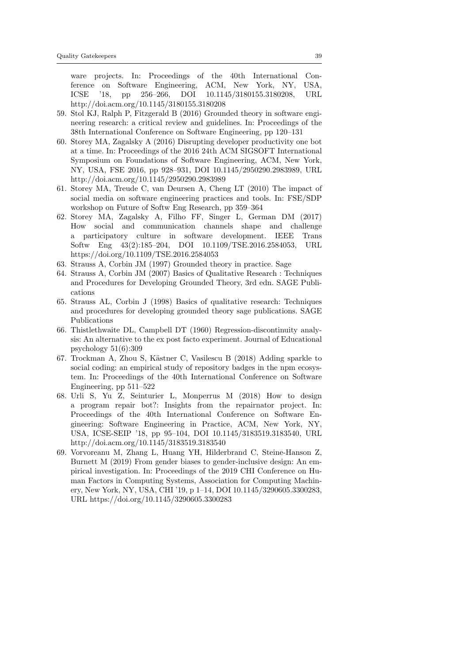ware projects. In: Proceedings of the 40th International Conference on Software Engineering, ACM, New York, NY, USA, ICSE '18, pp 256–266, DOI 10.1145/3180155.3180208, URL http://doi.acm.org/10.1145/3180155.3180208

- 59. Stol KJ, Ralph P, Fitzgerald B (2016) Grounded theory in software engineering research: a critical review and guidelines. In: Proceedings of the 38th International Conference on Software Engineering, pp 120–131
- 60. Storey MA, Zagalsky A (2016) Disrupting developer productivity one bot at a time. In: Proceedings of the 2016 24th ACM SIGSOFT International Symposium on Foundations of Software Engineering, ACM, New York, NY, USA, FSE 2016, pp 928–931, DOI 10.1145/2950290.2983989, URL http://doi.acm.org/10.1145/2950290.2983989
- 61. Storey MA, Treude C, van Deursen A, Cheng LT (2010) The impact of social media on software engineering practices and tools. In: FSE/SDP workshop on Future of Softw Eng Research, pp 359–364
- 62. Storey MA, Zagalsky A, Filho FF, Singer L, German DM (2017) How social and communication channels shape and challenge a participatory culture in software development. IEEE Trans Softw Eng 43(2):185–204, DOI 10.1109/TSE.2016.2584053, URL https://doi.org/10.1109/TSE.2016.2584053
- 63. Strauss A, Corbin JM (1997) Grounded theory in practice. Sage
- 64. Strauss A, Corbin JM (2007) Basics of Qualitative Research : Techniques and Procedures for Developing Grounded Theory, 3rd edn. SAGE Publications
- 65. Strauss AL, Corbin J (1998) Basics of qualitative research: Techniques and procedures for developing grounded theory sage publications. SAGE Publications
- 66. Thistlethwaite DL, Campbell DT (1960) Regression-discontinuity analysis: An alternative to the ex post facto experiment. Journal of Educational psychology 51(6):309
- 67. Trockman A, Zhou S, Kästner C, Vasilescu B (2018) Adding sparkle to social coding: an empirical study of repository badges in the npm ecosystem. In: Proceedings of the 40th International Conference on Software Engineering, pp 511–522
- 68. Urli S, Yu Z, Seinturier L, Monperrus M (2018) How to design a program repair bot?: Insights from the repairnator project. In: Proceedings of the 40th International Conference on Software Engineering: Software Engineering in Practice, ACM, New York, NY, USA, ICSE-SEIP '18, pp 95–104, DOI 10.1145/3183519.3183540, URL http://doi.acm.org/10.1145/3183519.3183540
- 69. Vorvoreanu M, Zhang L, Huang YH, Hilderbrand C, Steine-Hanson Z, Burnett M (2019) From gender biases to gender-inclusive design: An empirical investigation. In: Proceedings of the 2019 CHI Conference on Human Factors in Computing Systems, Association for Computing Machinery, New York, NY, USA, CHI '19, p 1–14, DOI 10.1145/3290605.3300283, URL https://doi.org/10.1145/3290605.3300283